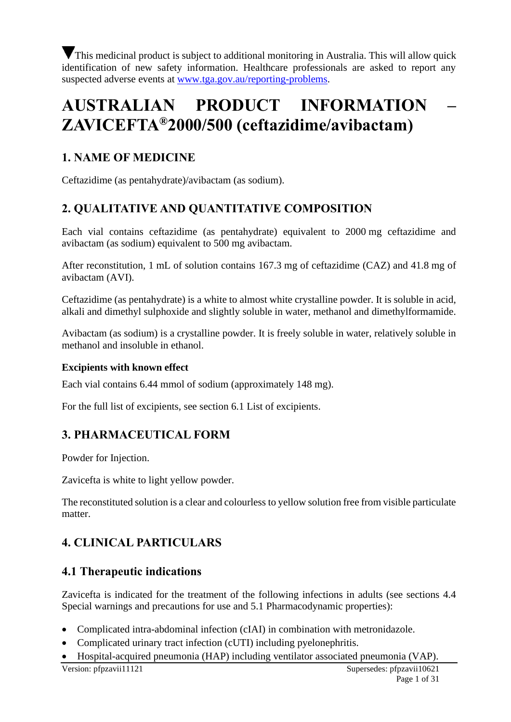This medicinal product is subject to additional monitoring in Australia. This will allow quick identification of new safety information. Healthcare professionals are asked to report any suspected adverse events at [www.tga.gov.au/reporting-problems.](http://www.tga.gov.au/reporting-problems)

# **AUSTRALIAN PRODUCT INFORMATION – ZAVICEFTA®2000/500 (ceftazidime/avibactam)**

# **1. NAME OF MEDICINE**

Ceftazidime (as pentahydrate)/avibactam (as sodium).

# **2. QUALITATIVE AND QUANTITATIVE COMPOSITION**

Each vial contains ceftazidime (as pentahydrate) equivalent to 2000 mg ceftazidime and avibactam (as sodium) equivalent to 500 mg avibactam.

After reconstitution, 1 mL of solution contains 167.3 mg of ceftazidime (CAZ) and 41.8 mg of avibactam (AVI).

Ceftazidime (as pentahydrate) is a white to almost white crystalline powder. It is soluble in acid, alkali and dimethyl sulphoxide and slightly soluble in water, methanol and dimethylformamide.

Avibactam (as sodium) is a crystalline powder. It is freely soluble in water, relatively soluble in methanol and insoluble in ethanol.

### **Excipients with known effect**

Each vial contains 6.44 mmol of sodium (approximately 148 mg).

For the full list of excipients, see section 6.1 List of excipients.

# **3. PHARMACEUTICAL FORM**

Powder for Injection.

Zavicefta is white to light yellow powder.

The reconstituted solution is a clear and colourless to yellow solution free from visible particulate matter.

# **4. CLINICAL PARTICULARS**

# **4.1 Therapeutic indications**

Zavicefta is indicated for the treatment of the following infections in adults (see sections 4.4 Special warnings and precautions for use and 5.1 Pharmacodynamic properties):

- Complicated intra-abdominal infection (cIAI) in combination with metronidazole.
- Complicated urinary tract infection (cUTI) including pyelonephritis.
- Hospital-acquired pneumonia (HAP) including ventilator associated pneumonia (VAP).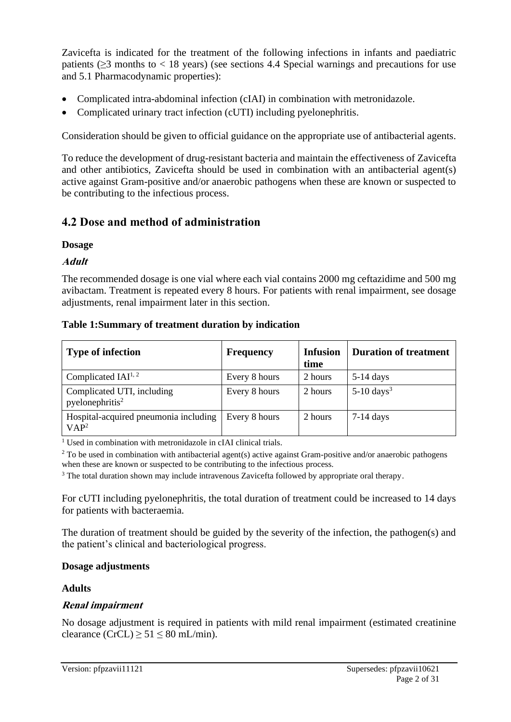Zavicefta is indicated for the treatment of the following infections in infants and paediatric patients ( $>$ 3 months to  $<$  18 years) (see sections 4.4 Special warnings and precautions for use and 5.1 Pharmacodynamic properties):

- Complicated intra-abdominal infection (cIAI) in combination with metronidazole.
- Complicated urinary tract infection (cUTI) including pyelonephritis.

Consideration should be given to official guidance on the appropriate use of antibacterial agents.

To reduce the development of drug-resistant bacteria and maintain the effectiveness of Zavicefta and other antibiotics, Zavicefta should be used in combination with an antibacterial agent(s) active against Gram-positive and/or anaerobic pathogens when these are known or suspected to be contributing to the infectious process.

# **4.2 Dose and method of administration**

### **Dosage**

**Adult**

The recommended dosage is one vial where each vial contains 2000 mg ceftazidime and 500 mg avibactam. Treatment is repeated every 8 hours. For patients with renal impairment, see dosage adjustments, renal impairment later in this section.

#### **Table 1:Summary of treatment duration by indication**

| <b>Type of infection</b>                                  | <b>Frequency</b> | <b>Infusion</b><br>time | <b>Duration of treatment</b> |
|-----------------------------------------------------------|------------------|-------------------------|------------------------------|
| Complicated $IAI^{1,2}$                                   | Every 8 hours    | 2 hours                 | $5-14$ days                  |
| Complicated UTI, including<br>pyelonephritis <sup>2</sup> | Every 8 hours    | 2 hours                 | $5-10$ days <sup>3</sup>     |
| Hospital-acquired pneumonia including<br>VAP <sup>2</sup> | Every 8 hours    | 2 hours                 | $7-14$ days                  |

<sup>1</sup> Used in combination with metronidazole in cIAI clinical trials.

<sup>2</sup> To be used in combination with antibacterial agent(s) active against Gram-positive and/or anaerobic pathogens when these are known or suspected to be contributing to the infectious process.

<sup>3</sup> The total duration shown may include intravenous Zavicefta followed by appropriate oral therapy.

For cUTI including pyelonephritis, the total duration of treatment could be increased to 14 days for patients with bacteraemia.

The duration of treatment should be guided by the severity of the infection, the pathogen(s) and the patient's clinical and bacteriological progress.

### **Dosage adjustments**

### **Adults**

### **Renal impairment**

No dosage adjustment is required in patients with mild renal impairment (estimated creatinine clearance  $(CrCL) \ge 51 \le 80$  mL/min).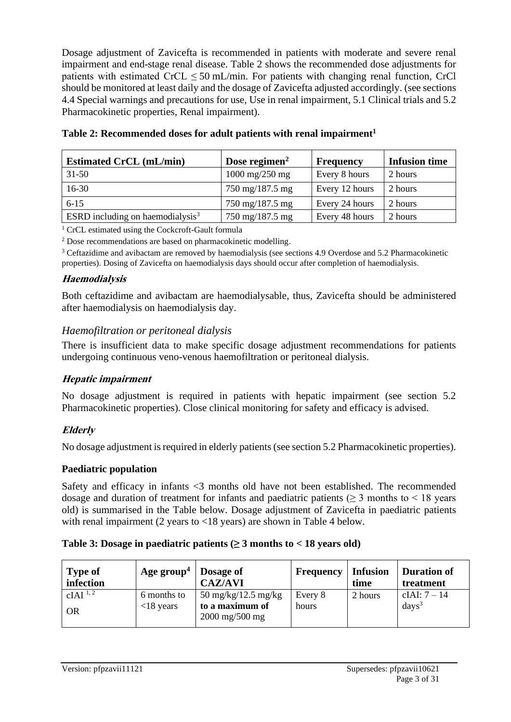Dosage adjustment of Zavicefta is recommended in patients with moderate and severe renal impairment and end-stage renal disease. Table 2 shows the recommended dose adjustments for patients with estimated  $CrCL \leq 50$  mL/min. For patients with changing renal function, CrCl should be monitored at least daily and the dosage of Zavicefta adjusted accordingly. (see sections 4.4 Special warnings and precautions for use, Use in renal impairment, 5.1 Clinical trials and 5.2 Pharmacokinetic properties, Renal impairment).

| <b>Estimated CrCL</b> (mL/min)      | Dose regimen $2$                  | Frequency      | <b>Infusion time</b> |
|-------------------------------------|-----------------------------------|----------------|----------------------|
| $31 - 50$                           | $1000 \text{ mg}/250 \text{ mg}$  | Every 8 hours  | 2 hours              |
| $16-30$                             | 750 mg/187.5 mg                   | Every 12 hours | 2 hours              |
| $6 - 15$                            | $750 \text{ mg}/187.5 \text{ mg}$ | Every 24 hours | 2 hours              |
| ESRD including on haemodialysis $3$ | 750 mg/187.5 mg                   | Every 48 hours | 2 hours              |

**Table 2: Recommended doses for adult patients with renal impairment<sup>1</sup>**

<sup>1</sup> CrCL estimated using the Cockcroft-Gault formula

<sup>2</sup> Dose recommendations are based on pharmacokinetic modelling.

<sup>3</sup> Ceftazidime and avibactam are removed by haemodialysis (see sections 4.9 Overdose and 5.2 Pharmacokinetic properties). Dosing of Zavicefta on haemodialysis days should occur after completion of haemodialysis.

#### **Haemodialysis**

Both ceftazidime and avibactam are haemodialysable, thus, Zavicefta should be administered after haemodialysis on haemodialysis day.

#### *Haemofiltration or peritoneal dialysis*

There is insufficient data to make specific dosage adjustment recommendations for patients undergoing continuous veno-venous haemofiltration or peritoneal dialysis.

### **Hepatic impairment**

No dosage adjustment is required in patients with hepatic impairment (see section 5.2 Pharmacokinetic properties). Close clinical monitoring for safety and efficacy is advised.

#### **Elderly**

No dosage adjustment is required in elderly patients (see section 5.2 Pharmacokinetic properties).

#### **Paediatric population**

Safety and efficacy in infants <3 months old have not been established. The recommended dosage and duration of treatment for infants and paediatric patients ( $\geq$  3 months to  $\leq$  18 years old) is summarised in the Table below. Dosage adjustment of Zavicefta in paediatric patients with renal impairment (2 years to <18 years) are shown in Table 4 below.

#### **Table 3: Dosage in paediatric patients (≥ 3 months to < 18 years old)**

| <b>Type of</b><br>infection        | Age group <sup>4</sup>      | Dosage of<br><b>CAZ/AVI</b>                                                                        | Frequency        | <b>Infusion</b><br>time | <b>Duration of</b><br>treatment |
|------------------------------------|-----------------------------|----------------------------------------------------------------------------------------------------|------------------|-------------------------|---------------------------------|
| $cIAI$ <sup>1,2</sup><br><b>OR</b> | 6 months to<br>$<$ 18 years | $50 \text{ mg/kg}/12.5 \text{ mg/kg}$<br>to a maximum of<br>$2000 \,\mathrm{mg}/500 \,\mathrm{mg}$ | Every 8<br>hours | 2 hours                 | cIAI: $7 - 14$<br>$days^3$      |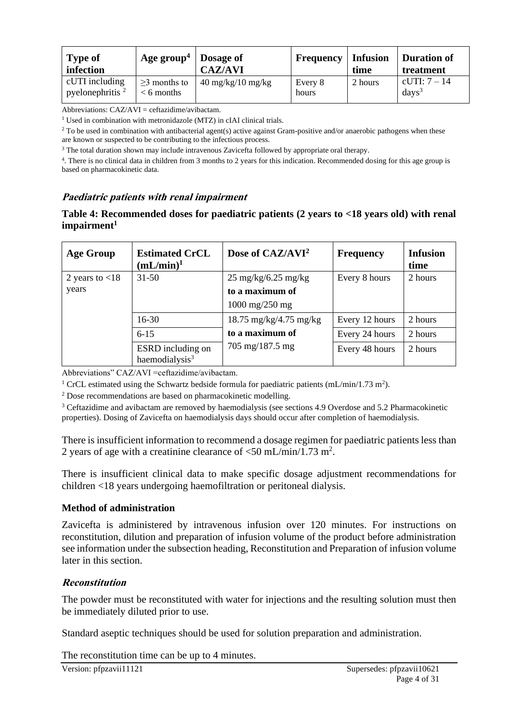| <b>Type of</b><br>infection          | Age group <sup>4</sup>             | Dosage of<br><b>CAZ/AVI</b>         | Frequency        | <b>Infusion</b><br>time | Duration of<br>treatment          |
|--------------------------------------|------------------------------------|-------------------------------------|------------------|-------------------------|-----------------------------------|
| cUTI including<br>pyelonephritis $2$ | $\geq$ 3 months to<br>$<$ 6 months | $40 \text{ mg/kg}/10 \text{ mg/kg}$ | Every 8<br>hours | 2 hours                 | cUTI: 7 – 14<br>days <sup>3</sup> |

Abbreviations:  $CAZ/AVI = ceftazidime/avibactam$ .

<sup>1</sup> Used in combination with metronidazole (MTZ) in cIAI clinical trials.

 $2$  To be used in combination with antibacterial agent(s) active against Gram-positive and/or anaerobic pathogens when these are known or suspected to be contributing to the infectious process.

<sup>3</sup> The total duration shown may include intravenous Zavicefta followed by appropriate oral therapy.

4 . There is no clinical data in children from 3 months to 2 years for this indication. Recommended dosing for this age group is based on pharmacokinetic data.

#### **Paediatric patients with renal impairment**

#### **Table 4: Recommended doses for paediatric patients (2 years to <18 years old) with renal impairment<sup>1</sup>**

| <b>Age Group</b>  | <b>Estimated CrCL</b><br>$(mL/min)^{1}$         | Dose of CAZ/AVI <sup>2</sup>             | <b>Frequency</b> | <b>Infusion</b><br>time |
|-------------------|-------------------------------------------------|------------------------------------------|------------------|-------------------------|
| 2 years to $<$ 18 | $31 - 50$                                       | $25 \text{ mg/kg}/6.25 \text{ mg/kg}$    | Every 8 hours    | 2 hours                 |
| years             |                                                 | to a maximum of                          |                  |                         |
|                   |                                                 | $1000 \,\mathrm{mg}/250 \,\mathrm{mg}$   |                  |                         |
|                   | $16-30$                                         | $18.75 \text{ mg/kg}/4.75 \text{ mg/kg}$ | Every 12 hours   | 2 hours                 |
|                   | $6 - 15$                                        | to a maximum of                          | Every 24 hours   | 2 hours                 |
|                   | ESRD including on<br>haemodialysis <sup>3</sup> | $705 \text{ mg}/187.5 \text{ mg}$        | Every 48 hours   | 2 hours                 |

Abbreviations" CAZ/AVI =ceftazidime/avibactam.

<sup>1</sup> CrCL estimated using the Schwartz bedside formula for paediatric patients (mL/min/1.73 m<sup>2</sup>).

<sup>2</sup> Dose recommendations are based on pharmacokinetic modelling.

<sup>3</sup> Ceftazidime and avibactam are removed by haemodialysis (see sections 4.9 Overdose and 5.2 Pharmacokinetic properties). Dosing of Zavicefta on haemodialysis days should occur after completion of haemodialysis.

There is insufficient information to recommend a dosage regimen for paediatric patients less than 2 years of age with a creatinine clearance of  $\langle 50 \text{ mL/min/1.73 m}^2$ .

There is insufficient clinical data to make specific dosage adjustment recommendations for children <18 years undergoing haemofiltration or peritoneal dialysis.

#### **Method of administration**

Zavicefta is administered by intravenous infusion over 120 minutes. For instructions on reconstitution, dilution and preparation of infusion volume of the product before administration see information under the subsection heading, Reconstitution and Preparation of infusion volume later in this section.

#### **Reconstitution**

The powder must be reconstituted with water for injections and the resulting solution must then be immediately diluted prior to use.

Standard aseptic techniques should be used for solution preparation and administration.

The reconstitution time can be up to 4 minutes.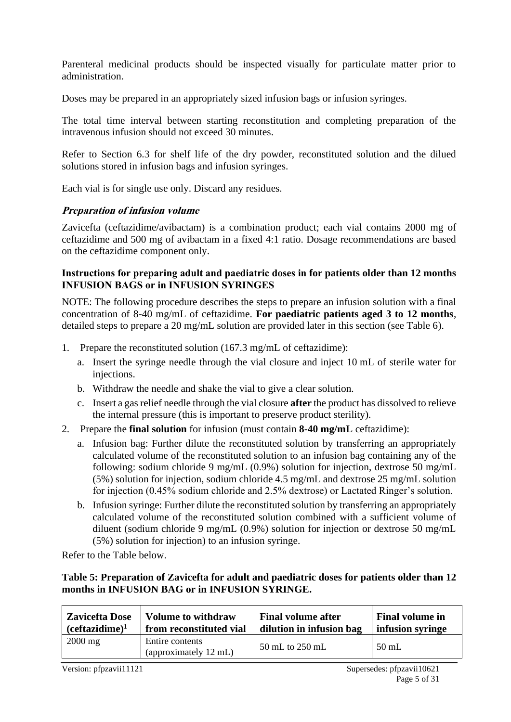Parenteral medicinal products should be inspected visually for particulate matter prior to administration.

Doses may be prepared in an appropriately sized infusion bags or infusion syringes.

The total time interval between starting reconstitution and completing preparation of the intravenous infusion should not exceed 30 minutes.

Refer to Section 6.3 for shelf life of the dry powder, reconstituted solution and the dilued solutions stored in infusion bags and infusion syringes.

Each vial is for single use only. Discard any residues.

#### **Preparation of infusion volume**

Zavicefta (ceftazidime/avibactam) is a combination product; each vial contains 2000 mg of ceftazidime and 500 mg of avibactam in a fixed 4:1 ratio. Dosage recommendations are based on the ceftazidime component only.

#### **Instructions for preparing adult and paediatric doses in for patients older than 12 months INFUSION BAGS or in INFUSION SYRINGES**

NOTE: The following procedure describes the steps to prepare an infusion solution with a final concentration of 8-40 mg/mL of ceftazidime. **For paediatric patients aged 3 to 12 months**, detailed steps to prepare a 20 mg/mL solution are provided later in this section (see Table 6).

- 1. Prepare the reconstituted solution (167.3 mg/mL of ceftazidime):
	- a. Insert the syringe needle through the vial closure and inject 10 mL of sterile water for injections.
	- b. Withdraw the needle and shake the vial to give a clear solution.
	- c. Insert a gas relief needle through the vial closure **after** the product has dissolved to relieve the internal pressure (this is important to preserve product sterility).
- 2. Prepare the **final solution** for infusion (must contain **8-40 mg/mL** ceftazidime):
	- a. Infusion bag: Further dilute the reconstituted solution by transferring an appropriately calculated volume of the reconstituted solution to an infusion bag containing any of the following: sodium chloride 9 mg/mL (0.9%) solution for injection, dextrose 50 mg/mL (5%) solution for injection, sodium chloride 4.5 mg/mL and dextrose 25 mg/mL solution for injection (0.45% sodium chloride and 2.5% dextrose) or Lactated Ringer's solution.
	- b. Infusion syringe: Further dilute the reconstituted solution by transferring an appropriately calculated volume of the reconstituted solution combined with a sufficient volume of diluent (sodium chloride 9 mg/mL (0.9%) solution for injection or dextrose 50 mg/mL (5%) solution for injection) to an infusion syringe.

Refer to the Table below.

#### **Table 5: Preparation of Zavicefta for adult and paediatric doses for patients older than 12 months in INFUSION BAG or in INFUSION SYRINGE.**

| <b>Zavicefta Dose</b>      | <b>Volume to withdraw</b>                | <b>Final volume after</b> | <b>Final volume in</b> |
|----------------------------|------------------------------------------|---------------------------|------------------------|
| (ceftazidime) <sup>1</sup> | from reconstituted vial                  | dilution in infusion bag  | infusion syringe       |
| $2000$ mg                  | Entire contents<br>(approximately 12 mL) | 50 mL to 250 mL           | 50 mL                  |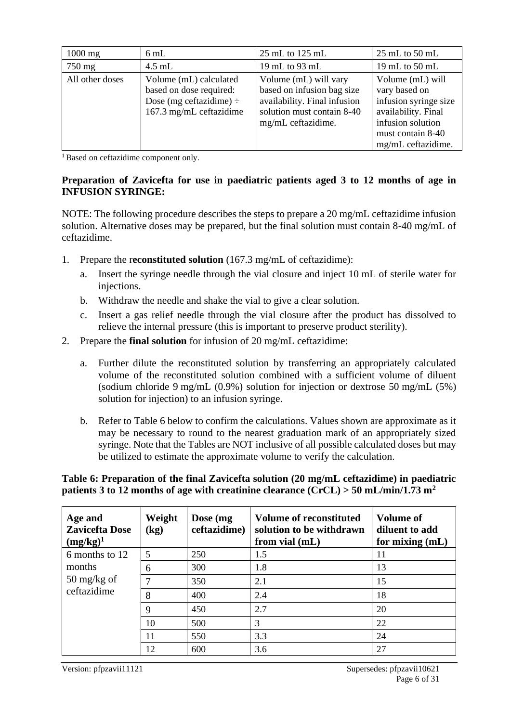| $1000$ mg       | $6 \text{ mL}$                                                                                               | 25 mL to 125 mL                                                                                                                         | $25 \text{ mL}$ to $50 \text{ mL}$                                                                                                                |
|-----------------|--------------------------------------------------------------------------------------------------------------|-----------------------------------------------------------------------------------------------------------------------------------------|---------------------------------------------------------------------------------------------------------------------------------------------------|
| 750 mg          | $4.5$ mL                                                                                                     | 19 mL to 93 mL                                                                                                                          | 19 mL to $50$ mL                                                                                                                                  |
| All other doses | Volume (mL) calculated<br>based on dose required:<br>Dose (mg ceftazidime) $\div$<br>167.3 mg/mL ceftazidime | Volume (mL) will vary<br>based on infusion bag size<br>availability. Final infusion<br>solution must contain 8-40<br>mg/mL ceftazidime. | Volume (mL) will<br>vary based on<br>infusion syringe size<br>availability. Final<br>infusion solution<br>must contain 8-40<br>mg/mL ceftazidime. |

<sup>1</sup>Based on ceftazidime component only.

#### **Preparation of Zavicefta for use in paediatric patients aged 3 to 12 months of age in INFUSION SYRINGE:**

NOTE: The following procedure describes the steps to prepare a 20 mg/mL ceftazidime infusion solution. Alternative doses may be prepared, but the final solution must contain 8-40 mg/mL of ceftazidime.

- 1. Prepare the r**econstituted solution** (167.3 mg/mL of ceftazidime):
	- a. Insert the syringe needle through the vial closure and inject 10 mL of sterile water for injections.
	- b. Withdraw the needle and shake the vial to give a clear solution.
	- c. Insert a gas relief needle through the vial closure after the product has dissolved to relieve the internal pressure (this is important to preserve product sterility).
- 2. Prepare the **final solution** for infusion of 20 mg/mL ceftazidime:
	- a. Further dilute the reconstituted solution by transferring an appropriately calculated volume of the reconstituted solution combined with a sufficient volume of diluent (sodium chloride 9 mg/mL (0.9%) solution for injection or dextrose 50 mg/mL (5%) solution for injection) to an infusion syringe.
	- b. Refer to Table 6 below to confirm the calculations. Values shown are approximate as it may be necessary to round to the nearest graduation mark of an appropriately sized syringe. Note that the Tables are NOT inclusive of all possible calculated doses but may be utilized to estimate the approximate volume to verify the calculation.

#### **Table 6: Preparation of the final Zavicefta solution (20 mg/mL ceftazidime) in paediatric patients 3 to 12 months of age with creatinine clearance (CrCL) > 50 mL/min/1.73 m<sup>2</sup>**

| Age and<br><b>Zavicefta Dose</b><br>$(mg/kg)^1$ | Weight<br>$\left(\mathbf{kg}\right)$ | Dose (mg)<br>ceftazidime) | <b>Volume of reconstituted</b><br>solution to be withdrawn<br>from vial $(mL)$ | <b>Volume of</b><br>diluent to add<br>for mixing $(mL)$ |
|-------------------------------------------------|--------------------------------------|---------------------------|--------------------------------------------------------------------------------|---------------------------------------------------------|
| 6 months to 12                                  | 5                                    | 250                       | 1.5                                                                            | 11                                                      |
| months                                          | 6                                    | 300                       | 1.8                                                                            | 13                                                      |
| $50 \frac{\text{mg}}{\text{kg}}$ of             | 7                                    | 350                       | 2.1                                                                            | 15                                                      |
| ceftazidime                                     | 8                                    | 400                       | 2.4                                                                            | 18                                                      |
|                                                 | 9                                    | 450                       | 2.7                                                                            | 20                                                      |
|                                                 | 10                                   | 500                       | 3                                                                              | 22                                                      |
|                                                 | 11                                   | 550                       | 3.3                                                                            | 24                                                      |
|                                                 | 12                                   | 600                       | 3.6                                                                            | 27                                                      |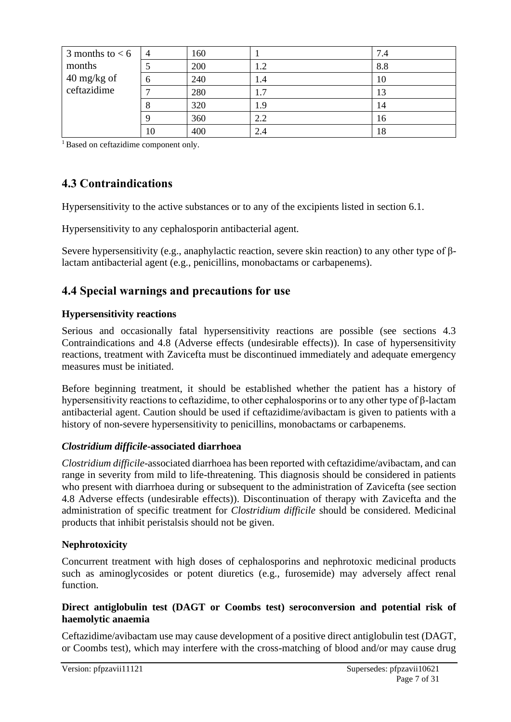| 3 months to $< 6$                   | $\overline{4}$ | 160 |     | 7.4 |
|-------------------------------------|----------------|-----|-----|-----|
| months                              |                | 200 | 1.2 | 8.8 |
| $40 \frac{\text{mg}}{\text{kg}}$ of | 6              | 240 | 1.4 | 10  |
| ceftazidime                         |                | 280 | 1.7 | 13  |
|                                     | 8              | 320 | 1.9 | 14  |
|                                     |                | 360 | 2.2 | 16  |
|                                     | 10             | 400 | 2.4 | 18  |

<sup>1</sup> Based on ceftazidime component only.

# **4.3 Contraindications**

Hypersensitivity to the active substances or to any of the excipients listed in section 6.1.

Hypersensitivity to any cephalosporin antibacterial agent.

Severe hypersensitivity (e.g., anaphylactic reaction, severe skin reaction) to any other type of βlactam antibacterial agent (e.g., penicillins, monobactams or carbapenems).

# **4.4 Special warnings and precautions for use**

### **Hypersensitivity reactions**

Serious and occasionally fatal hypersensitivity reactions are possible (see sections 4.3 Contraindications and 4.8 (Adverse effects (undesirable effects)). In case of hypersensitivity reactions, treatment with Zavicefta must be discontinued immediately and adequate emergency measures must be initiated.

Before beginning treatment, it should be established whether the patient has a history of hypersensitivity reactions to ceftazidime, to other cephalosporins or to any other type of β-lactam antibacterial agent. Caution should be used if ceftazidime/avibactam is given to patients with a history of non-severe hypersensitivity to penicillins, monobactams or carbapenems.

#### *Clostridium difficile***-associated diarrhoea**

*Clostridium difficile-*associated diarrhoea has been reported with ceftazidime/avibactam, and can range in severity from mild to life-threatening. This diagnosis should be considered in patients who present with diarrhoea during or subsequent to the administration of Zavicefta (see section 4.8 Adverse effects (undesirable effects)). Discontinuation of therapy with Zavicefta and the administration of specific treatment for *Clostridium difficile* should be considered. Medicinal products that inhibit peristalsis should not be given.

### **Nephrotoxicity**

Concurrent treatment with high doses of cephalosporins and nephrotoxic medicinal products such as aminoglycosides or potent diuretics (e.g., furosemide) may adversely affect renal function.

#### **Direct antiglobulin test (DAGT or Coombs test) seroconversion and potential risk of haemolytic anaemia**

Ceftazidime/avibactam use may cause development of a positive direct antiglobulin test (DAGT, or Coombs test), which may interfere with the cross-matching of blood and/or may cause drug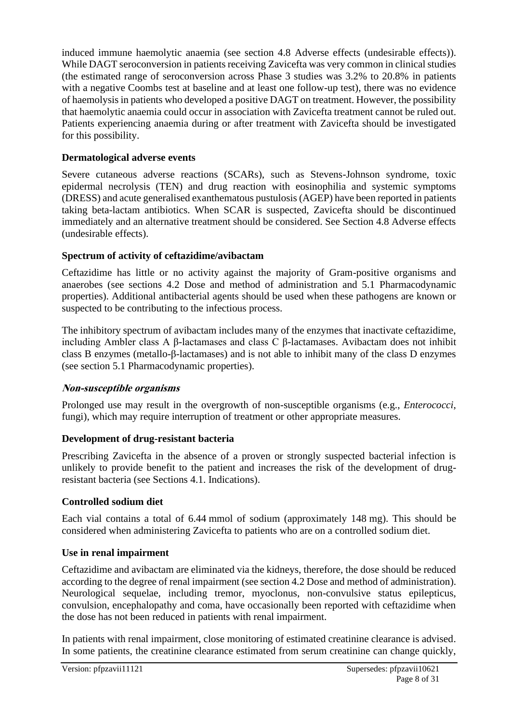induced immune haemolytic anaemia (see section 4.8 Adverse effects (undesirable effects)). While DAGT seroconversion in patients receiving Zavicefta was very common in clinical studies (the estimated range of seroconversion across Phase 3 studies was 3.2% to 20.8% in patients with a negative Coombs test at baseline and at least one follow-up test), there was no evidence of haemolysis in patients who developed a positive DAGT on treatment. However, the possibility that haemolytic anaemia could occur in association with Zavicefta treatment cannot be ruled out. Patients experiencing anaemia during or after treatment with Zavicefta should be investigated for this possibility.

### **Dermatological adverse events**

Severe cutaneous adverse reactions (SCARs), such as Stevens-Johnson syndrome, toxic epidermal necrolysis (TEN) and drug reaction with eosinophilia and systemic symptoms (DRESS) and acute generalised exanthematous pustulosis (AGEP) have been reported in patients taking beta-lactam antibiotics. When SCAR is suspected, Zavicefta should be discontinued immediately and an alternative treatment should be considered. See Section 4.8 Adverse effects (undesirable effects).

### **Spectrum of activity of ceftazidime/avibactam**

Ceftazidime has little or no activity against the majority of Gram-positive organisms and anaerobes (see sections 4.2 Dose and method of administration and 5.1 Pharmacodynamic properties). Additional antibacterial agents should be used when these pathogens are known or suspected to be contributing to the infectious process.

The inhibitory spectrum of avibactam includes many of the enzymes that inactivate ceftazidime, including Ambler class A β-lactamases and class C β-lactamases. Avibactam does not inhibit class B enzymes (metallo-β-lactamases) and is not able to inhibit many of the class D enzymes (see section 5.1 Pharmacodynamic properties).

# **Non-susceptible organisms**

Prolonged use may result in the overgrowth of non-susceptible organisms (e.g., *Enterococci*, fungi), which may require interruption of treatment or other appropriate measures.

### **Development of drug-resistant bacteria**

Prescribing Zavicefta in the absence of a proven or strongly suspected bacterial infection is unlikely to provide benefit to the patient and increases the risk of the development of drugresistant bacteria (see Sections 4.1. Indications).

### **Controlled sodium diet**

Each vial contains a total of 6.44 mmol of sodium (approximately 148 mg). This should be considered when administering Zavicefta to patients who are on a controlled sodium diet.

### **Use in renal impairment**

Ceftazidime and avibactam are eliminated via the kidneys, therefore, the dose should be reduced according to the degree of renal impairment (see section 4.2 Dose and method of administration). Neurological sequelae, including tremor, myoclonus, non-convulsive status epilepticus, convulsion, encephalopathy and coma, have occasionally been reported with ceftazidime when the dose has not been reduced in patients with renal impairment.

In patients with renal impairment, close monitoring of estimated creatinine clearance is advised. In some patients, the creatinine clearance estimated from serum creatinine can change quickly,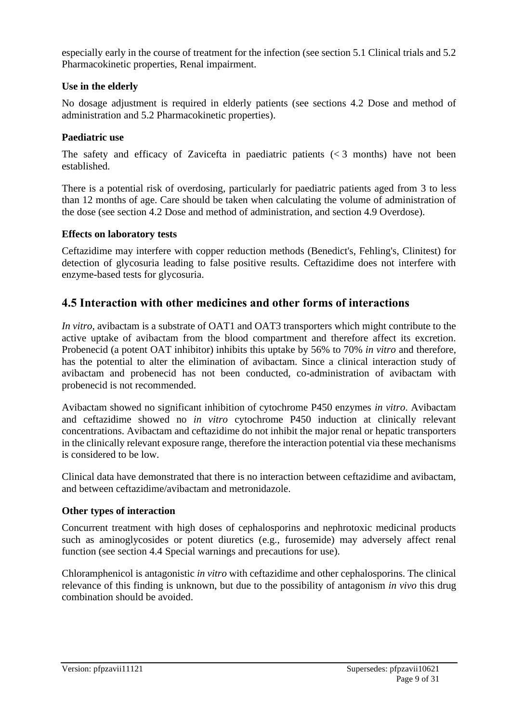especially early in the course of treatment for the infection (see section 5.1 Clinical trials and 5.2 Pharmacokinetic properties, Renal impairment.

#### **Use in the elderly**

No dosage adjustment is required in elderly patients (see sections 4.2 Dose and method of administration and 5.2 Pharmacokinetic properties).

#### **Paediatric use**

The safety and efficacy of Zavicefta in paediatric patients  $\langle \langle 3 \rangle$  months) have not been established.

There is a potential risk of overdosing, particularly for paediatric patients aged from 3 to less than 12 months of age. Care should be taken when calculating the volume of administration of the dose (see section 4.2 Dose and method of administration, and section 4.9 Overdose).

#### **Effects on laboratory tests**

Ceftazidime may interfere with copper reduction methods (Benedict's, Fehling's, Clinitest) for detection of glycosuria leading to false positive results. Ceftazidime does not interfere with enzyme-based tests for glycosuria.

# **4.5 Interaction with other medicines and other forms of interactions**

*In vitro*, avibactam is a substrate of OAT1 and OAT3 transporters which might contribute to the active uptake of avibactam from the blood compartment and therefore affect its excretion. Probenecid (a potent OAT inhibitor) inhibits this uptake by 56% to 70% *in vitro* and therefore, has the potential to alter the elimination of avibactam. Since a clinical interaction study of avibactam and probenecid has not been conducted, co-administration of avibactam with probenecid is not recommended.

Avibactam showed no significant inhibition of cytochrome P450 enzymes *in vitro*. Avibactam and ceftazidime showed no *in vitro* cytochrome P450 induction at clinically relevant concentrations. Avibactam and ceftazidime do not inhibit the major renal or hepatic transporters in the clinically relevant exposure range, therefore the interaction potential via these mechanisms is considered to be low.

Clinical data have demonstrated that there is no interaction between ceftazidime and avibactam, and between ceftazidime/avibactam and metronidazole.

#### **Other types of interaction**

Concurrent treatment with high doses of cephalosporins and nephrotoxic medicinal products such as aminoglycosides or potent diuretics (e.g., furosemide) may adversely affect renal function (see section 4.4 Special warnings and precautions for use).

Chloramphenicol is antagonistic *in vitro* with ceftazidime and other cephalosporins. The clinical relevance of this finding is unknown, but due to the possibility of antagonism *in vivo* this drug combination should be avoided.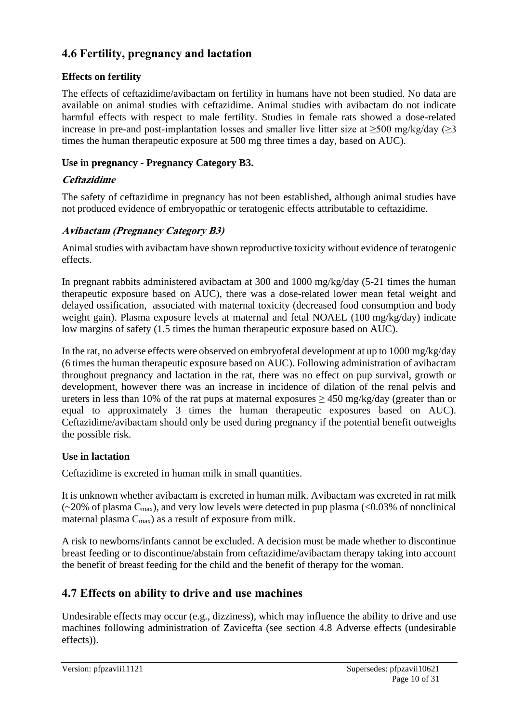# **4.6 Fertility, pregnancy and lactation**

# **Effects on fertility**

The effects of ceftazidime/avibactam on fertility in humans have not been studied. No data are available on animal studies with ceftazidime. Animal studies with avibactam do not indicate harmful effects with respect to male fertility. Studies in female rats showed a dose-related increase in pre-and post-implantation losses and smaller live litter size at  $\geq$ 500 mg/kg/day ( $\geq$ 3 times the human therapeutic exposure at 500 mg three times a day, based on AUC).

### **Use in pregnancy - Pregnancy Category B3.**

### **Ceftazidime**

The safety of ceftazidime in pregnancy has not been established, although animal studies have not produced evidence of embryopathic or teratogenic effects attributable to ceftazidime.

### **Avibactam (Pregnancy Category B3)**

Animal studies with avibactam have shown reproductive toxicity without evidence of teratogenic effects.

In pregnant rabbits administered avibactam at 300 and 1000 mg/kg/day (5-21 times the human therapeutic exposure based on AUC), there was a dose-related lower mean fetal weight and delayed ossification, associated with maternal toxicity (decreased food consumption and body weight gain). Plasma exposure levels at maternal and fetal NOAEL (100 mg/kg/day) indicate low margins of safety (1.5 times the human therapeutic exposure based on AUC).

In the rat, no adverse effects were observed on embryofetal development at up to 1000 mg/kg/day (6 times the human therapeutic exposure based on AUC). Following administration of avibactam throughout pregnancy and lactation in the rat, there was no effect on pup survival, growth or development, however there was an increase in incidence of dilation of the renal pelvis and ureters in less than 10% of the rat pups at maternal exposures  $\geq$  450 mg/kg/day (greater than or equal to approximately 3 times the human therapeutic exposures based on AUC). Ceftazidime/avibactam should only be used during pregnancy if the potential benefit outweighs the possible risk.

### **Use in lactation**

Ceftazidime is excreted in human milk in small quantities.

It is unknown whether avibactam is excreted in human milk. Avibactam was excreted in rat milk  $\sim$  20% of plasma C<sub>max</sub>), and very low levels were detected in pup plasma (<0.03% of nonclinical maternal plasma  $C_{\text{max}}$ ) as a result of exposure from milk.

A risk to newborns/infants cannot be excluded. A decision must be made whether to discontinue breast feeding or to discontinue/abstain from ceftazidime/avibactam therapy taking into account the benefit of breast feeding for the child and the benefit of therapy for the woman.

# **4.7 Effects on ability to drive and use machines**

Undesirable effects may occur (e.g., dizziness), which may influence the ability to drive and use machines following administration of Zavicefta (see section 4.8 Adverse effects (undesirable effects)).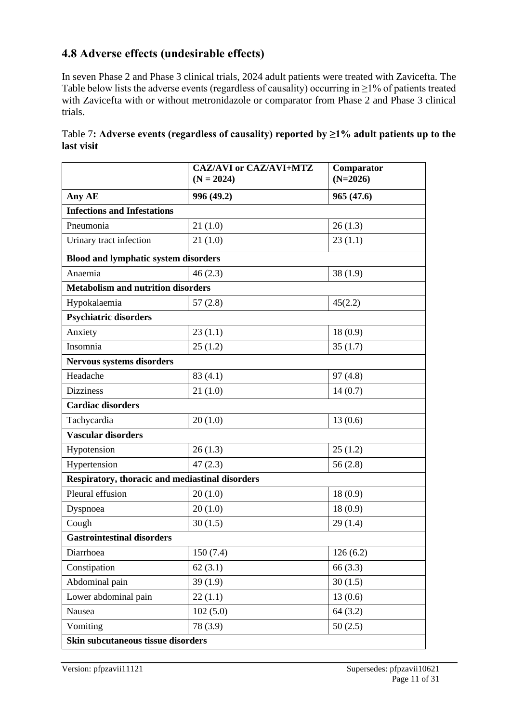# **4.8 Adverse effects (undesirable effects)**

In seven Phase 2 and Phase 3 clinical trials, 2024 adult patients were treated with Zavicefta. The Table below lists the adverse events (regardless of causality) occurring in ≥1% of patients treated with Zavicefta with or without metronidazole or comparator from Phase 2 and Phase 3 clinical trials.

|                                                 | <b>CAZ/AVI or CAZ/AVI+MTZ</b><br>$(N = 2024)$ | Comparator<br>$(N=2026)$ |  |  |
|-------------------------------------------------|-----------------------------------------------|--------------------------|--|--|
| Any AE                                          | 996 (49.2)                                    | 965(47.6)                |  |  |
| <b>Infections and Infestations</b>              |                                               |                          |  |  |
| Pneumonia                                       | 21(1.0)                                       | 26(1.3)                  |  |  |
| Urinary tract infection                         | 21(1.0)                                       | 23(1.1)                  |  |  |
| <b>Blood and lymphatic system disorders</b>     |                                               |                          |  |  |
| Anaemia                                         | 46(2.3)                                       | 38(1.9)                  |  |  |
| <b>Metabolism and nutrition disorders</b>       |                                               |                          |  |  |
| Hypokalaemia                                    | 57(2.8)                                       | 45(2.2)                  |  |  |
| <b>Psychiatric disorders</b>                    |                                               |                          |  |  |
| Anxiety                                         | 23(1.1)                                       | 18(0.9)                  |  |  |
| Insomnia                                        | 25(1.2)                                       | 35(1.7)                  |  |  |
| <b>Nervous systems disorders</b>                |                                               |                          |  |  |
| Headache                                        | 83(4.1)                                       | 97(4.8)                  |  |  |
| <b>Dizziness</b>                                | 21(1.0)                                       | 14(0.7)                  |  |  |
| <b>Cardiac disorders</b>                        |                                               |                          |  |  |
| Tachycardia                                     | 20(1.0)                                       | 13(0.6)                  |  |  |
| <b>Vascular disorders</b>                       |                                               |                          |  |  |
| Hypotension                                     | 26(1.3)                                       | 25(1.2)                  |  |  |
| Hypertension                                    | 47(2.3)                                       | 56(2.8)                  |  |  |
| Respiratory, thoracic and mediastinal disorders |                                               |                          |  |  |
| Pleural effusion                                | 20(1.0)                                       | 18(0.9)                  |  |  |
| Dyspnoea                                        | 20(1.0)                                       | 18(0.9)                  |  |  |
| Cough                                           | 30(1.5)                                       | 29(1.4)                  |  |  |
| <b>Gastrointestinal disorders</b>               |                                               |                          |  |  |
| Diarrhoea                                       | 150(7.4)                                      | 126(6.2)                 |  |  |
| Constipation                                    | 62(3.1)                                       | 66(3.3)                  |  |  |
| Abdominal pain                                  | 39(1.9)                                       | 30(1.5)                  |  |  |
| Lower abdominal pain                            | 22(1.1)                                       | 13(0.6)                  |  |  |
| Nausea                                          | 102(5.0)                                      | 64(3.2)                  |  |  |
| Vomiting                                        | 78 (3.9)                                      | 50(2.5)                  |  |  |
| Skin subcutaneous tissue disorders              |                                               |                          |  |  |

Table 7**: Adverse events (regardless of causality) reported by ≥1% adult patients up to the last visit**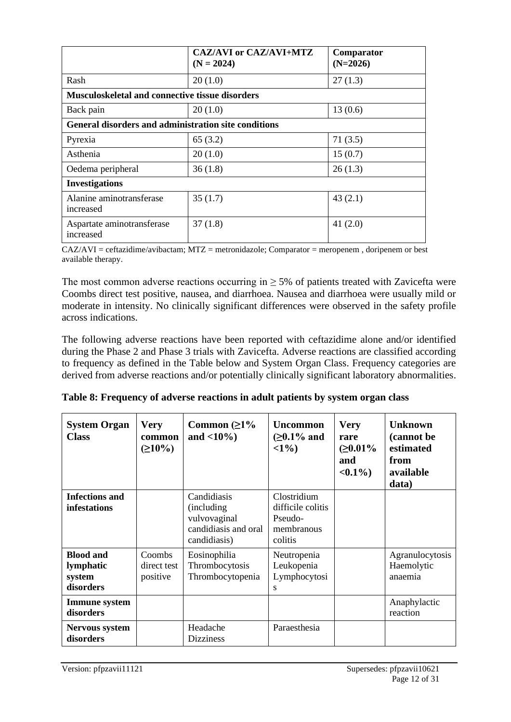|                                                             | <b>CAZ/AVI or CAZ/AVI+MTZ</b><br>$(N = 2024)$ | Comparator<br>$(N=2026)$ |
|-------------------------------------------------------------|-----------------------------------------------|--------------------------|
| Rash                                                        | 20(1.0)                                       | 27(1.3)                  |
| <b>Musculoskeletal and connective tissue disorders</b>      |                                               |                          |
| Back pain                                                   | 20(1.0)                                       | 13(0.6)                  |
| <b>General disorders and administration site conditions</b> |                                               |                          |
| Pyrexia                                                     | 65(3.2)                                       | 71(3.5)                  |
| Asthenia                                                    | 20(1.0)                                       | 15(0.7)                  |
| Oedema peripheral                                           | 36(1.8)                                       | 26(1.3)                  |
| <b>Investigations</b>                                       |                                               |                          |
| Alanine aminotransferase<br>increased                       | 35(1.7)                                       | 43(2.1)                  |
| Aspartate aminotransferase<br>increased                     | 37(1.8)                                       | 41 $(2.0)$               |

CAZ/AVI = ceftazidime/avibactam; MTZ = metronidazole; Comparator = meropenem , doripenem or best available therapy.

The most common adverse reactions occurring in  $\geq$  5% of patients treated with Zavicefta were Coombs direct test positive, nausea, and diarrhoea. Nausea and diarrhoea were usually mild or moderate in intensity. No clinically significant differences were observed in the safety profile across indications.

The following adverse reactions have been reported with ceftazidime alone and/or identified during the Phase 2 and Phase 3 trials with Zavicefta. Adverse reactions are classified according to frequency as defined in the Table below and System Organ Class. Frequency categories are derived from adverse reactions and/or potentially clinically significant laboratory abnormalities.

| <b>System Organ</b><br><b>Class</b>                  | <b>Very</b><br>common<br>$(210\%)$ | Common $(21%$<br>and $<10\%$ )                                                            | <b>Uncommon</b><br>( $≥0.1\%$ and<br>$\langle 1\% \rangle$           | <b>Very</b><br>rare<br>( $≥0.01\%$<br>and<br>$< 0.1\%$ | <b>Unknown</b><br>(cannot be<br>estimated<br>from<br>available<br>data) |
|------------------------------------------------------|------------------------------------|-------------------------------------------------------------------------------------------|----------------------------------------------------------------------|--------------------------------------------------------|-------------------------------------------------------------------------|
| <b>Infections and</b><br>infestations                |                                    | Candidiasis<br><i>(including)</i><br>vulvovaginal<br>candidiasis and oral<br>candidiasis) | Clostridium<br>difficile colitis<br>Pseudo-<br>membranous<br>colitis |                                                        |                                                                         |
| <b>Blood and</b><br>lymphatic<br>system<br>disorders | Coombs<br>direct test<br>positive  | Eosinophilia<br>Thrombocytosis<br>Thrombocytopenia                                        | Neutropenia<br>Leukopenia<br>Lymphocytosi<br>S                       |                                                        | Agranulocytosis<br>Haemolytic<br>anaemia                                |
| <b>Immune</b> system<br>disorders                    |                                    |                                                                                           |                                                                      |                                                        | Anaphylactic<br>reaction                                                |
| <b>Nervous system</b><br>disorders                   |                                    | Headache<br><b>Dizziness</b>                                                              | Paraesthesia                                                         |                                                        |                                                                         |

|  | Table 8: Frequency of adverse reactions in adult patients by system organ class |  |  |  |
|--|---------------------------------------------------------------------------------|--|--|--|
|  |                                                                                 |  |  |  |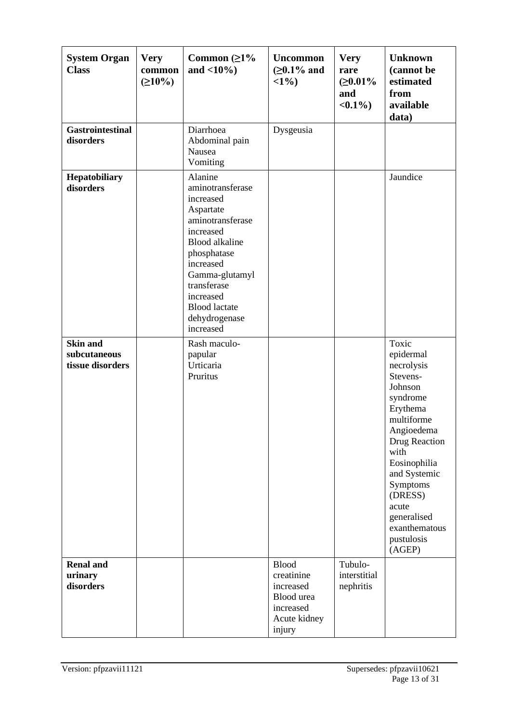| <b>System Organ</b><br><b>Class</b>                 | <b>Very</b><br>common<br>$(210\%)$ | Common $(\geq 1\%$<br>and $<10\%$ )                                                                                                                                                                                                             | <b>Uncommon</b><br>( $≥0.1\%$ and<br><1%                                                     | <b>Very</b><br>rare<br>( $≥0.01\%$<br>and<br>$< 0.1\%$ | <b>Unknown</b><br>(cannot be<br>estimated<br>from<br>available<br>data)                                                                                                                                                                                      |
|-----------------------------------------------------|------------------------------------|-------------------------------------------------------------------------------------------------------------------------------------------------------------------------------------------------------------------------------------------------|----------------------------------------------------------------------------------------------|--------------------------------------------------------|--------------------------------------------------------------------------------------------------------------------------------------------------------------------------------------------------------------------------------------------------------------|
| <b>Gastrointestinal</b><br>disorders                |                                    | Diarrhoea<br>Abdominal pain<br>Nausea<br>Vomiting                                                                                                                                                                                               | Dysgeusia                                                                                    |                                                        |                                                                                                                                                                                                                                                              |
| Hepatobiliary<br>disorders                          |                                    | Alanine<br>aminotransferase<br>increased<br>Aspartate<br>aminotransferase<br>increased<br><b>Blood</b> alkaline<br>phosphatase<br>increased<br>Gamma-glutamyl<br>transferase<br>increased<br><b>Blood</b> lactate<br>dehydrogenase<br>increased |                                                                                              |                                                        | Jaundice                                                                                                                                                                                                                                                     |
| <b>Skin and</b><br>subcutaneous<br>tissue disorders |                                    | Rash maculo-<br>papular<br>Urticaria<br>Pruritus                                                                                                                                                                                                |                                                                                              |                                                        | Toxic<br>epidermal<br>necrolysis<br>Stevens-<br>Johnson<br>syndrome<br>Erythema<br>multiforme<br>Angioedema<br>Drug Reaction<br>with<br>Eosinophilia<br>and Systemic<br>Symptoms<br>(DRESS)<br>acute<br>generalised<br>exanthematous<br>pustulosis<br>(AGEP) |
| <b>Renal and</b><br>urinary<br>disorders            |                                    |                                                                                                                                                                                                                                                 | <b>Blood</b><br>creatinine<br>increased<br>Blood urea<br>increased<br>Acute kidney<br>injury | Tubulo-<br>interstitial<br>nephritis                   |                                                                                                                                                                                                                                                              |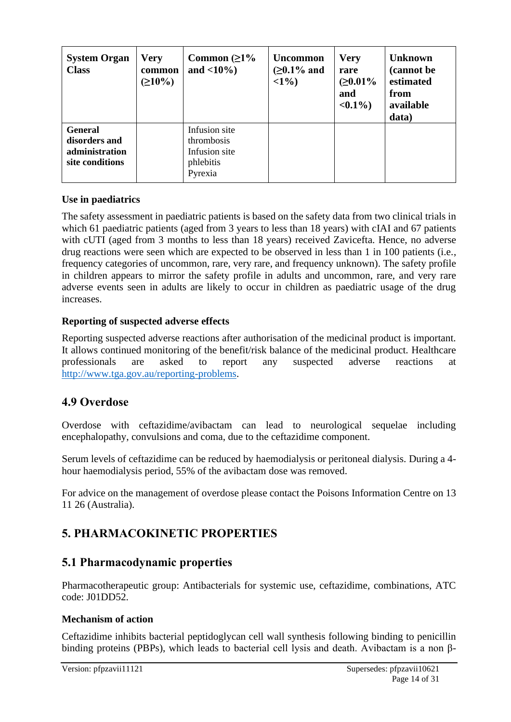| <b>System Organ</b><br><b>Class</b>                                  | <b>Very</b><br>common<br>$(210\%)$ | Common $(21\%$<br>and $\langle 10\% \rangle$                         | <b>Uncommon</b><br>( $≥0.1\%$ and<br>$<1\%$ ) | <b>Very</b><br>rare<br>( $≥0.01\%$<br>and<br>$< 0.1\%$ | <b>Unknown</b><br>(cannot be<br>estimated<br>from<br>available<br>data) |
|----------------------------------------------------------------------|------------------------------------|----------------------------------------------------------------------|-----------------------------------------------|--------------------------------------------------------|-------------------------------------------------------------------------|
| <b>General</b><br>disorders and<br>administration<br>site conditions |                                    | Infusion site<br>thrombosis<br>Infusion site<br>phlebitis<br>Pyrexia |                                               |                                                        |                                                                         |

### **Use in paediatrics**

The safety assessment in paediatric patients is based on the safety data from two clinical trials in which 61 paediatric patients (aged from 3 years to less than 18 years) with cIAI and 67 patients with cUTI (aged from 3 months to less than 18 years) received Zavicefta. Hence, no adverse drug reactions were seen which are expected to be observed in less than 1 in 100 patients (i.e., frequency categories of uncommon, rare, very rare, and frequency unknown). The safety profile in children appears to mirror the safety profile in adults and uncommon, rare, and very rare adverse events seen in adults are likely to occur in children as paediatric usage of the drug increases.

#### **Reporting of suspected adverse effects**

Reporting suspected adverse reactions after authorisation of the medicinal product is important. It allows continued monitoring of the benefit/risk balance of the medicinal product. Healthcare professionals are asked to report any suspected adverse reactions at [http://www.tga.gov.au/reporting-problems.](http://www.tga.gov.au/reporting-problems)

# **4.9 Overdose**

Overdose with ceftazidime/avibactam can lead to neurological sequelae including encephalopathy, convulsions and coma, due to the ceftazidime component.

Serum levels of ceftazidime can be reduced by haemodialysis or peritoneal dialysis. During a 4 hour haemodialysis period, 55% of the avibactam dose was removed.

For advice on the management of overdose please contact the Poisons Information Centre on 13 11 26 (Australia).

# **5. PHARMACOKINETIC PROPERTIES**

# **5.1 Pharmacodynamic properties**

Pharmacotherapeutic group: Antibacterials for systemic use, ceftazidime, combinations, ATC code: J01DD52.

### **Mechanism of action**

Ceftazidime inhibits bacterial peptidoglycan cell wall synthesis following binding to penicillin binding proteins (PBPs), which leads to bacterial cell lysis and death. Avibactam is a non β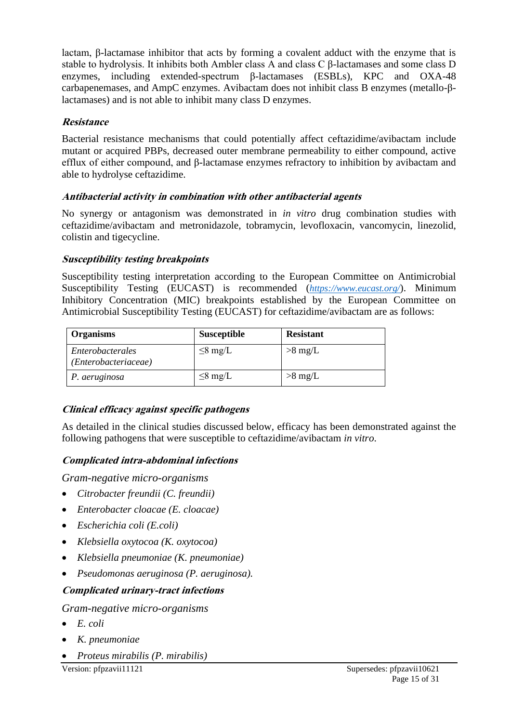lactam, β-lactamase inhibitor that acts by forming a covalent adduct with the enzyme that is stable to hydrolysis. It inhibits both Ambler class A and class C β-lactamases and some class D enzymes, including extended-spectrum β-lactamases (ESBLs), KPC and OXA-48 carbapenemases, and AmpC enzymes. Avibactam does not inhibit class B enzymes (metallo-βlactamases) and is not able to inhibit many class D enzymes.

### **Resistance**

Bacterial resistance mechanisms that could potentially affect ceftazidime/avibactam include mutant or acquired PBPs, decreased outer membrane permeability to either compound, active efflux of either compound, and β-lactamase enzymes refractory to inhibition by avibactam and able to hydrolyse ceftazidime.

### **Antibacterial activity in combination with other antibacterial agents**

No synergy or antagonism was demonstrated in *in vitro* drug combination studies with ceftazidime/avibactam and metronidazole, tobramycin, levofloxacin, vancomycin, linezolid, colistin and tigecycline.

### **Susceptibility testing breakpoints**

Susceptibility testing interpretation according to the European Committee on Antimicrobial Susceptibility Testing (EUCAST) is recommended (*[https://www.eucast.org/](https://urldefense.com/v3/__https:/www.eucast.org/__;!!H9nueQsQ!rXYcwSyRl17QiTgklP7Baw2khUzf4j_4MUOm2oZGtcfJpxQdKE2kcOKUut2uwMxv0Ww$)*). Minimum Inhibitory Concentration (MIC) breakpoints established by the European Committee on Antimicrobial Susceptibility Testing (EUCAST) for ceftazidime/avibactam are as follows:

| <b>Organisms</b>                         | <b>Susceptible</b> | <b>Resistant</b> |
|------------------------------------------|--------------------|------------------|
| Enterobacterales<br>(Enterobacteriaceae) | $\leq$ 8 mg/L      | $>8$ mg/L        |
| P. aeruginosa                            | $\leq$ 8 mg/L      | $>8$ mg/L        |

### **Clinical efficacy against specific pathogens**

As detailed in the clinical studies discussed below, efficacy has been demonstrated against the following pathogens that were susceptible to ceftazidime/avibactam *in vitro*.

### **Complicated intra-abdominal infections**

*Gram-negative micro-organisms*

- *Citrobacter freundii (C. freundii)*
- *Enterobacter cloacae (E. cloacae)*
- *Escherichia coli (E.coli)*
- *Klebsiella oxytocoa (K. oxytocoa)*
- *Klebsiella pneumoniae (K. pneumoniae)*
- *Pseudomonas aeruginosa (P. aeruginosa).*

### **Complicated urinary-tract infections**

### *Gram-negative micro-organisms*

- *E. coli*
- *K. pneumoniae*
- *Proteus mirabilis (P. mirabilis)*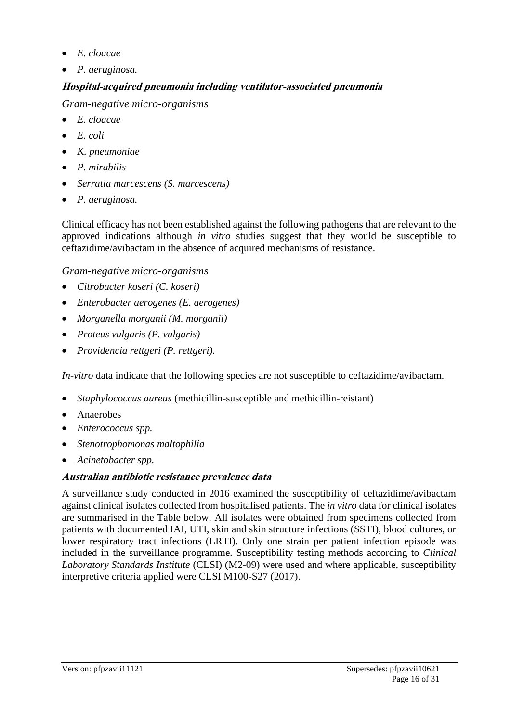- *E. cloacae*
- *P. aeruginosa.*

# **Hospital-acquired pneumonia including ventilator-associated pneumonia**

*Gram-negative micro-organisms*

- *E. cloacae*
- *E. coli*
- *K. pneumoniae*
- *P. mirabilis*
- *Serratia marcescens (S. marcescens)*
- *P. aeruginosa.*

Clinical efficacy has not been established against the following pathogens that are relevant to the approved indications although *in vitro* studies suggest that they would be susceptible to ceftazidime/avibactam in the absence of acquired mechanisms of resistance.

*Gram-negative micro-organisms*

- *Citrobacter koseri (C. koseri)*
- *Enterobacter aerogenes (E. aerogenes)*
- *Morganella morganii (M. morganii)*
- *Proteus vulgaris (P. vulgaris)*
- *Providencia rettgeri (P. rettgeri).*

*In-vitro* data indicate that the following species are not susceptible to ceftazidime/avibactam.

- *Staphylococcus aureus* (methicillin-susceptible and methicillin-reistant)
- Anaerobes
- *Enterococcus spp.*
- *Stenotrophomonas maltophilia*
- *Acinetobacter spp.*

# **Australian antibiotic resistance prevalence data**

A surveillance study conducted in 2016 examined the susceptibility of ceftazidime/avibactam against clinical isolates collected from hospitalised patients. The *in vitro* data for clinical isolates are summarised in the Table below. All isolates were obtained from specimens collected from patients with documented IAI, UTI, skin and skin structure infections (SSTI), blood cultures, or lower respiratory tract infections (LRTI). Only one strain per patient infection episode was included in the surveillance programme. Susceptibility testing methods according to *Clinical Laboratory Standards Institute* (CLSI) (M2-09) were used and where applicable, susceptibility interpretive criteria applied were CLSI M100-S27 (2017).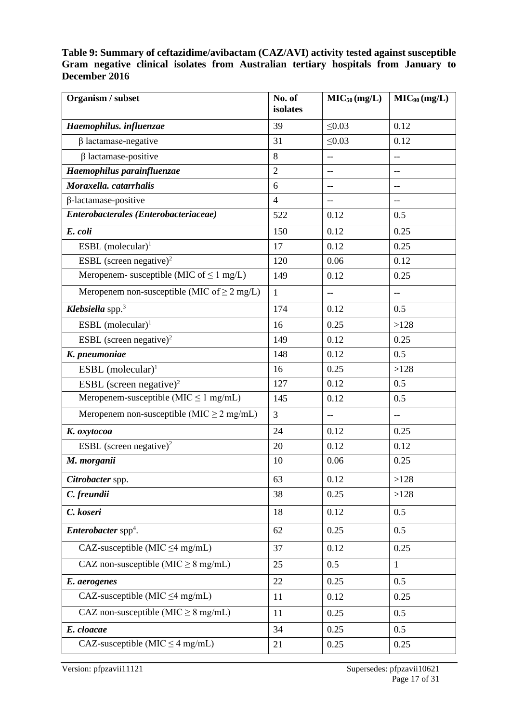#### **Table 9: Summary of ceftazidime/avibactam (CAZ/AVI) activity tested against susceptible Gram negative clinical isolates from Australian tertiary hospitals from January to December 2016**

| Organism / subset                                | No. of<br>isolates | MIC <sub>50</sub> (mg/L) | $MIC_{90}$ (mg/L) |
|--------------------------------------------------|--------------------|--------------------------|-------------------|
| Haemophilus. influenzae                          | 39                 | $\leq 0.03$              | 0.12              |
| $\beta$ lactamase-negative                       | 31                 | $\leq 0.03$              | 0.12              |
| $\beta$ lactamase-positive                       | 8                  | $-$                      | $-$               |
| Haemophilus parainfluenzae                       | $\overline{2}$     | $- -$                    | $-$               |
| Moraxella. catarrhalis                           | 6                  | --                       | --                |
| $\beta$ -lactamase-positive                      | $\overline{4}$     | $-$                      | $-$               |
| Enterobacterales (Enterobacteriaceae)            | 522                | 0.12                     | 0.5               |
| E. coli                                          | 150                | 0.12                     | 0.25              |
| ESBL (molecular) <sup>1</sup>                    | 17                 | 0.12                     | 0.25              |
| ESBL (screen negative) <sup>2</sup>              | 120                | 0.06                     | 0.12              |
| Meropenem- susceptible (MIC of $\leq 1$ mg/L)    | 149                | 0.12                     | 0.25              |
| Meropenem non-susceptible (MIC of $\geq 2$ mg/L) | $\mathbf{1}$       | $-$                      | $-$               |
| Klebsiella spp. <sup>3</sup>                     | 174                | 0.12                     | 0.5               |
| ESBL $(molecular)^1$                             | 16                 | 0.25                     | >128              |
| ESBL (screen negative) <sup>2</sup>              | 149                | 0.12                     | 0.25              |
| K. pneumoniae                                    | 148                | 0.12                     | 0.5               |
| ESBL (molecular) <sup>1</sup>                    | 16                 | 0.25                     | >128              |
| ESBL (screen negative) <sup>2</sup>              | 127                | 0.12                     | 0.5               |
| Meropenem-susceptible ( $MIC \leq 1$ mg/mL)      | 145                | 0.12                     | 0.5               |
| Meropenem non-susceptible (MIC $\geq$ 2 mg/mL)   | $\overline{3}$     | $-$                      | $-$               |
| K. oxytocoa                                      | 24                 | 0.12                     | 0.25              |
| ESBL (screen negative) <sup>2</sup>              | 20                 | 0.12                     | 0.12              |
| M. morganii                                      | 10                 | 0.06                     | 0.25              |
| Citrobacter spp.                                 | 63                 | 0.12                     | >128              |
| C. freundii                                      | 38                 | 0.25                     | >128              |
| C. koseri                                        | 18                 | 0.12                     | 0.5               |
| <i>Enterobacter</i> spp <sup>4</sup> .           | 62                 | 0.25                     | 0.5               |
| CAZ-susceptible (MIC $\leq$ 4 mg/mL)             | 37                 | 0.12                     | 0.25              |
| CAZ non-susceptible ( $MIC \geq 8$ mg/mL)        | 25                 | 0.5                      | 1                 |
| E. aerogenes                                     | 22                 | 0.25                     | 0.5               |
| CAZ-susceptible (MIC $\leq$ 4 mg/mL)             | 11                 | 0.12                     | 0.25              |
| CAZ non-susceptible ( $MIC \geq 8$ mg/mL)        | 11                 | 0.25                     | 0.5               |
| E. cloacae                                       | 34                 | 0.25                     | 0.5               |
| CAZ-susceptible (MIC $\leq$ 4 mg/mL)             | 21                 | 0.25                     | 0.25              |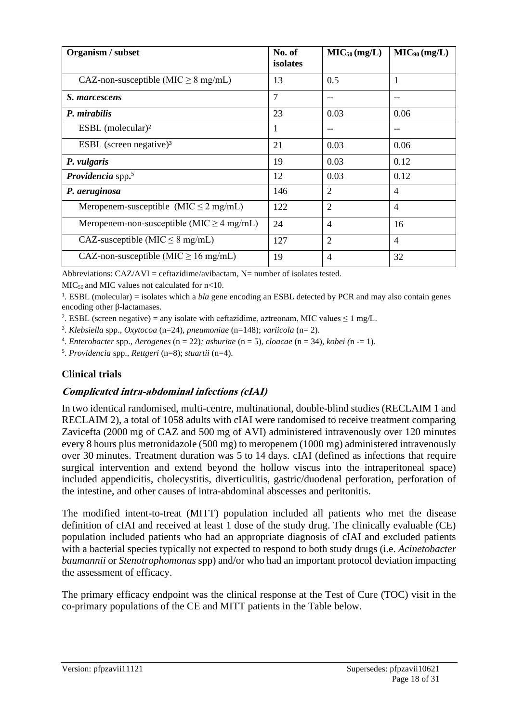| Organism / subset                              | No. of         | MIC <sub>50</sub> (mg/L) | $MIC_{90}$ (mg/L) |
|------------------------------------------------|----------------|--------------------------|-------------------|
|                                                | isolates       |                          |                   |
| CAZ-non-susceptible (MIC $\geq 8$ mg/mL)       | 13             | 0.5                      | 1                 |
| S. marcescens                                  | $\overline{7}$ | $-$                      | --                |
| P. mirabilis                                   | 23             | 0.03                     | 0.06              |
| ESBL (molecular) $2$                           | 1              |                          | --                |
| ESBL (screen negative) $3$                     | 21             | 0.03                     | 0.06              |
| P. vulgaris                                    | 19             | 0.03                     | 0.12              |
| <b>Providencia</b> spp. $5$                    | 12             | 0.03                     | 0.12              |
| P. aeruginosa                                  | 146            | $\overline{2}$           | $\overline{4}$    |
| Meropenem-susceptible (MIC $\leq$ 2 mg/mL)     | 122            | $\overline{2}$           | $\overline{4}$    |
| Meropenem-non-susceptible (MIC $\geq$ 4 mg/mL) | 24             | $\overline{4}$           | 16                |
| CAZ-susceptible (MIC $\leq$ 8 mg/mL)           | 127            | $\overline{2}$           | 4                 |
| CAZ-non-susceptible (MIC $\geq$ 16 mg/mL)      | 19             | $\overline{4}$           | 32                |

Abbreviations:  $CAZ/AVI = ceftazidime/avibactam$ . N= number of isolates tested.

 $MIC<sub>50</sub>$  and MIC values not calculated for n<10.

<sup>1</sup>. ESBL (molecular) = isolates which a *bla* gene encoding an ESBL detected by PCR and may also contain genes encoding other β-lactamases.

<sup>2</sup>. ESBL (screen negative) = any isolate with ceftazidime, aztreonam, MIC values  $\leq 1$  mg/L.

3 . *Klebsiella* spp., *Oxytocoa* (n=24), *pneumoniae* (n=148); *variicola* (n= 2).

4 . *Enterobacter* spp., *Aerogenes* (n = 22)*; asburiae* (n = 5), *cloacae* (n = 34), *kobei (*n -= 1).

5 . *Providencia* spp., *Rettgeri* (n=8); *stuartii* (n=4).

#### **Clinical trials**

#### **Complicated intra-abdominal infections (cIAI)**

In two identical randomised, multi-centre, multinational, double-blind studies (RECLAIM 1 and RECLAIM 2), a total of 1058 adults with cIAI were randomised to receive treatment comparing Zavicefta (2000 mg of CAZ and 500 mg of AVI) administered intravenously over 120 minutes every 8 hours plus metronidazole (500 mg) to meropenem (1000 mg) administered intravenously over 30 minutes. Treatment duration was 5 to 14 days. cIAI (defined as infections that require surgical intervention and extend beyond the hollow viscus into the intraperitoneal space) included appendicitis, cholecystitis, diverticulitis, gastric/duodenal perforation, perforation of the intestine, and other causes of intra-abdominal abscesses and peritonitis.

The modified intent-to-treat (MITT) population included all patients who met the disease definition of cIAI and received at least 1 dose of the study drug. The clinically evaluable (CE) population included patients who had an appropriate diagnosis of cIAI and excluded patients with a bacterial species typically not expected to respond to both study drugs (i.e. *Acinetobacter baumannii* or *Stenotrophomonas* spp) and/or who had an important protocol deviation impacting the assessment of efficacy.

The primary efficacy endpoint was the clinical response at the Test of Cure (TOC) visit in the co-primary populations of the CE and MITT patients in the Table below.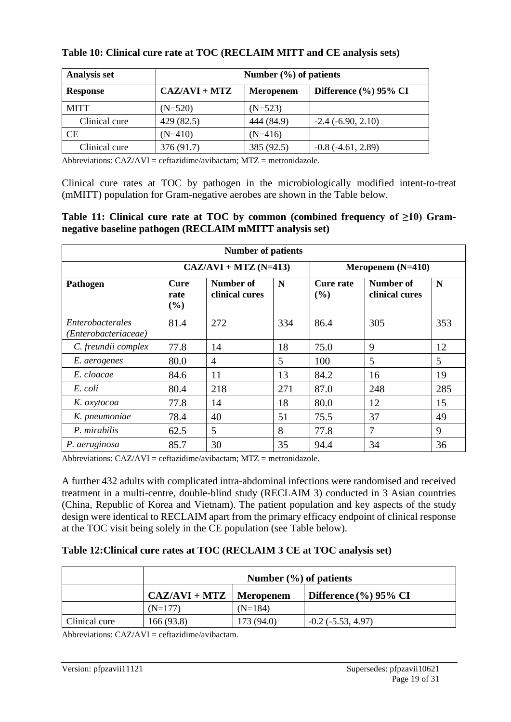| <b>Analysis set</b> |                 | Number $(\% )$ of patients |                           |  |  |  |  |  |  |
|---------------------|-----------------|----------------------------|---------------------------|--|--|--|--|--|--|
| <b>Response</b>     | $CAZ/AVI + MTZ$ | <b>Meropenem</b>           | Difference $(\%$ ) 95% CI |  |  |  |  |  |  |
| <b>MITT</b>         | $(N=520)$       | $(N=523)$                  |                           |  |  |  |  |  |  |
| Clinical cure       | 429 (82.5)      | 444 (84.9)                 | $-2.4$ $(-6.90, 2.10)$    |  |  |  |  |  |  |
| СE                  | $(N=410)$       | $(N=416)$                  |                           |  |  |  |  |  |  |
| Clinical cure       | 376 (91.7)      | 385 (92.5)                 | $-0.8(-4.61, 2.89)$       |  |  |  |  |  |  |

#### **Table 10: Clinical cure rate at TOC (RECLAIM MITT and CE analysis sets)**

Abbreviations: CAZ/AVI = ceftazidime/avibactam; MTZ = metronidazole.

Clinical cure rates at TOC by pathogen in the microbiologically modified intent-to-treat (mMITT) population for Gram-negative aerobes are shown in the Table below.

#### **Table 11: Clinical cure rate at TOC by common (combined frequency of ≥10) Gramnegative baseline pathogen (RECLAIM mMITT analysis set)**

| <b>Number of patients</b>                |                     |                                    |     |                         |                                    |     |  |  |  |  |  |
|------------------------------------------|---------------------|------------------------------------|-----|-------------------------|------------------------------------|-----|--|--|--|--|--|
|                                          |                     | $CAZ/AVI + MTZ (N=413)$            |     | Meropenem $(N=410)$     |                                    |     |  |  |  |  |  |
| Pathogen                                 | Cure<br>rate<br>(%) | <b>Number of</b><br>clinical cures | N   | <b>Cure rate</b><br>(%) | <b>Number of</b><br>clinical cures | N   |  |  |  |  |  |
| Enterobacterales<br>'Enterobacteriaceae) | 81.4                | 272                                | 334 | 86.4                    | 305                                | 353 |  |  |  |  |  |
| C. freundii complex                      | 77.8                | 14                                 | 18  | 75.0                    | 9                                  | 12  |  |  |  |  |  |
| E. aerogenes                             | 80.0                | $\overline{4}$                     | 5   | 100                     | 5                                  | 5   |  |  |  |  |  |
| E. cloacae                               | 84.6                | 11                                 | 13  | 84.2                    | 16                                 | 19  |  |  |  |  |  |
| E. coli                                  | 80.4                | 218                                | 271 | 87.0                    | 248                                | 285 |  |  |  |  |  |
| K. oxytocoa                              | 77.8                | 14                                 | 18  | 80.0                    | 12                                 | 15  |  |  |  |  |  |
| K. pneumoniae                            | 78.4                | 40                                 | 51  | 75.5                    | 37                                 | 49  |  |  |  |  |  |
| P. mirabilis                             | 62.5                | 5                                  | 8   | 77.8                    | 7                                  | 9   |  |  |  |  |  |
| P. aeruginosa                            | 85.7                | 30                                 | 35  | 94.4                    | 34                                 | 36  |  |  |  |  |  |

Abbreviations: CAZ/AVI = ceftazidime/avibactam; MTZ = metronidazole.

A further 432 adults with complicated intra-abdominal infections were randomised and received treatment in a multi-centre, double-blind study (RECLAIM 3) conducted in 3 Asian countries (China, Republic of Korea and Vietnam). The patient population and key aspects of the study design were identical to RECLAIM apart from the primary efficacy endpoint of clinical response at the TOC visit being solely in the CE population (see Table below).

#### **Table 12:Clinical cure rates at TOC (RECLAIM 3 CE at TOC analysis set)**

|               | Number $(\% )$ of patients                                                          |            |                          |  |  |  |  |  |  |  |
|---------------|-------------------------------------------------------------------------------------|------------|--------------------------|--|--|--|--|--|--|--|
|               | $CAZ/AVI + MTZ$<br>Difference $\left(\frac{9}{6}\right)$ 95% CI<br><b>Meropenem</b> |            |                          |  |  |  |  |  |  |  |
|               | $(N=177)$                                                                           | $(N=184)$  |                          |  |  |  |  |  |  |  |
| Clinical cure | 166(93.8)                                                                           | 173 (94.0) | $-0.2$ ( $-5.53, 4.97$ ) |  |  |  |  |  |  |  |

Abbreviations:  $CAZ/AVI = ceftazidime/avibactam$ .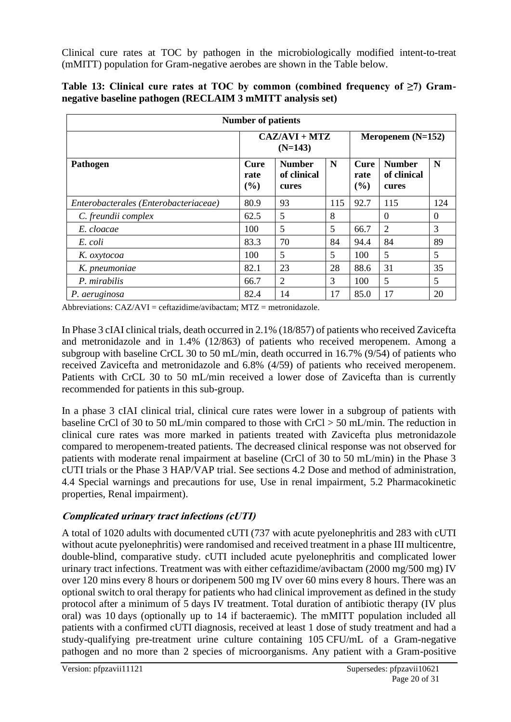Clinical cure rates at TOC by pathogen in the microbiologically modified intent-to-treat (mMITT) population for Gram-negative aerobes are shown in the Table below.

| <b>Number of patients</b>             |                            |                                       |     |                            |                                       |          |  |  |  |  |
|---------------------------------------|----------------------------|---------------------------------------|-----|----------------------------|---------------------------------------|----------|--|--|--|--|
|                                       |                            | $CAZ/AVI + MTZ$<br>$(N=143)$          |     | Meropenem $(N=152)$        |                                       |          |  |  |  |  |
| Pathogen                              | <b>Cure</b><br>rate<br>(%) | <b>Number</b><br>of clinical<br>cures | N   | <b>Cure</b><br>rate<br>(%) | <b>Number</b><br>of clinical<br>cures | N        |  |  |  |  |
| Enterobacterales (Enterobacteriaceae) | 80.9                       | 93                                    | 115 | 92.7                       | 115                                   | 124      |  |  |  |  |
| C. freundii complex                   | 62.5                       | 5                                     | 8   |                            | $\theta$                              | $\Omega$ |  |  |  |  |
| E. cloacae                            | 100                        | 5                                     | 5   | 66.7                       | 2                                     | 3        |  |  |  |  |
| E. coli                               | 83.3                       | 70                                    | 84  | 94.4                       | 84                                    | 89       |  |  |  |  |
| K. oxytocoa                           | 100                        | 5                                     | 5   | 100                        | 5                                     | 5        |  |  |  |  |
| K. pneumoniae                         | 82.1                       | 23                                    | 28  | 88.6                       | 31                                    | 35       |  |  |  |  |
| P. mirabilis                          | 66.7                       | 2                                     | 3   | 100                        | 5                                     | 5        |  |  |  |  |
| P. aeruginosa                         | 82.4                       | 14                                    | 17  | 85.0                       | 17                                    | 20       |  |  |  |  |

|  |  |  |  | Table 13: Clinical cure rates at TOC by common (combined frequency of $\geq 7$ ) Gram- |  |  |
|--|--|--|--|----------------------------------------------------------------------------------------|--|--|
|  |  |  |  | negative baseline pathogen (RECLAIM 3 mMITT analysis set)                              |  |  |

Abbreviations:  $C_A Z/AVI = ceftazidime/avibactam$ :  $MTZ = metronidazole$ .

In Phase 3 cIAI clinical trials, death occurred in 2.1% (18/857) of patients who received Zavicefta and metronidazole and in 1.4% (12/863) of patients who received meropenem. Among a subgroup with baseline CrCL 30 to 50 mL/min, death occurred in 16.7% (9/54) of patients who received Zavicefta and metronidazole and 6.8% (4/59) of patients who received meropenem. Patients with CrCL 30 to 50 mL/min received a lower dose of Zavicefta than is currently recommended for patients in this sub-group.

In a phase 3 cIAI clinical trial, clinical cure rates were lower in a subgroup of patients with baseline CrCl of 30 to 50 mL/min compared to those with CrCl > 50 mL/min. The reduction in clinical cure rates was more marked in patients treated with Zavicefta plus metronidazole compared to meropenem-treated patients. The decreased clinical response was not observed for patients with moderate renal impairment at baseline (CrCl of 30 to 50 mL/min) in the Phase 3 cUTI trials or the Phase 3 HAP/VAP trial. See sections 4.2 Dose and method of administration, 4.4 Special warnings and precautions for use, Use in renal impairment, 5.2 Pharmacokinetic properties, Renal impairment).

### **Complicated urinary tract infections (cUTI)**

A total of 1020 adults with documented cUTI (737 with acute pyelonephritis and 283 with cUTI without acute pyelonephritis) were randomised and received treatment in a phase III multicentre, double-blind, comparative study. cUTI included acute pyelonephritis and complicated lower urinary tract infections. Treatment was with either ceftazidime/avibactam (2000 mg/500 mg) IV over 120 mins every 8 hours or doripenem 500 mg IV over 60 mins every 8 hours. There was an optional switch to oral therapy for patients who had clinical improvement as defined in the study protocol after a minimum of 5 days IV treatment. Total duration of antibiotic therapy (IV plus oral) was 10 days (optionally up to 14 if bacteraemic). The mMITT population included all patients with a confirmed cUTI diagnosis, received at least 1 dose of study treatment and had a study-qualifying pre-treatment urine culture containing 105 CFU/mL of a Gram-negative pathogen and no more than 2 species of microorganisms. Any patient with a Gram-positive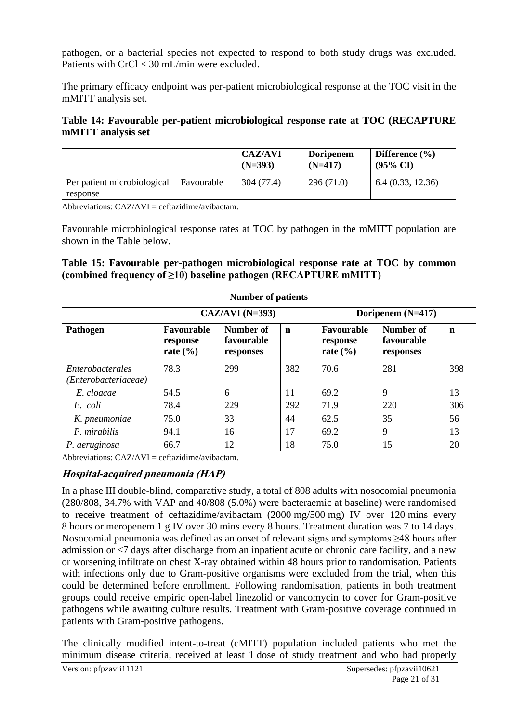pathogen, or a bacterial species not expected to respond to both study drugs was excluded. Patients with CrCl < 30 mL/min were excluded.

The primary efficacy endpoint was per-patient microbiological response at the TOC visit in the mMITT analysis set.

#### **Table 14: Favourable per-patient microbiological response rate at TOC (RECAPTURE mMITT analysis set**

|                             |            | <b>CAZ/AVI</b><br>$(N=393)$ | <b>Doripenem</b><br>$(N=417)$ | Difference $(\% )$<br>$(95\% \text{ CI})$ |
|-----------------------------|------------|-----------------------------|-------------------------------|-------------------------------------------|
| Per patient microbiological | Favourable | 304 (77.4)                  | 296(71.0)                     | 6.4(0.33, 12.36)                          |
| response                    |            |                             |                               |                                           |

Abbreviations:  $CAZ/AVI = ceftazidime/avibactam$ .

Favourable microbiological response rates at TOC by pathogen in the mMITT population are shown in the Table below.

#### **Table 15: Favourable per-pathogen microbiological response rate at TOC by common (combined frequency of ≥10) baseline pathogen (RECAPTURE mMITT)**

| <b>Number of patients</b>                |                                        |                                      |             |                                        |                                      |             |
|------------------------------------------|----------------------------------------|--------------------------------------|-------------|----------------------------------------|--------------------------------------|-------------|
|                                          |                                        | $CAZ/AVI$ (N=393)                    |             |                                        | Doripenem $(N=417)$                  |             |
| Pathogen                                 | Favourable<br>response<br>rate $(\% )$ | Number of<br>favourable<br>responses | $\mathbf n$ | Favourable<br>response<br>rate $(\% )$ | Number of<br>favourable<br>responses | $\mathbf n$ |
| Enterobacterales<br>(Enterobacteriaceae) | 78.3                                   | 299                                  | 382         | 70.6                                   | 281                                  | 398         |
| E. cloacae                               | 54.5                                   | 6                                    | 11          | 69.2                                   | 9                                    | 13          |
| E. coli                                  | 78.4                                   | 229                                  | 292         | 71.9                                   | 220                                  | 306         |
| K. pneumoniae                            | 75.0                                   | 33                                   | 44          | 62.5                                   | 35                                   | 56          |
| P. mirabilis                             | 94.1                                   | 16                                   | 17          | 69.2                                   | 9                                    | 13          |
| P. aeruginosa                            | 66.7                                   | 12                                   | 18          | 75.0                                   | 15                                   | 20          |

Abbreviations:  $CAZ/AVI = ceftazidime/avibactam$ .

### **Hospital-acquired pneumonia (HAP)**

In a phase III double-blind, comparative study, a total of 808 adults with nosocomial pneumonia (280/808, 34.7% with VAP and 40/808 (5.0%) were bacteraemic at baseline) were randomised to receive treatment of ceftazidime/avibactam (2000 mg/500 mg) IV over 120 mins every 8 hours or meropenem 1 g IV over 30 mins every 8 hours. Treatment duration was 7 to 14 days. Nosocomial pneumonia was defined as an onset of relevant signs and symptoms ≥48 hours after admission or <7 days after discharge from an inpatient acute or chronic care facility, and a new or worsening infiltrate on chest X-ray obtained within 48 hours prior to randomisation. Patients with infections only due to Gram-positive organisms were excluded from the trial, when this could be determined before enrollment. Following randomisation, patients in both treatment groups could receive empiric open-label linezolid or vancomycin to cover for Gram-positive pathogens while awaiting culture results. Treatment with Gram-positive coverage continued in patients with Gram-positive pathogens.

The clinically modified intent-to-treat (cMITT) population included patients who met the minimum disease criteria, received at least 1 dose of study treatment and who had properly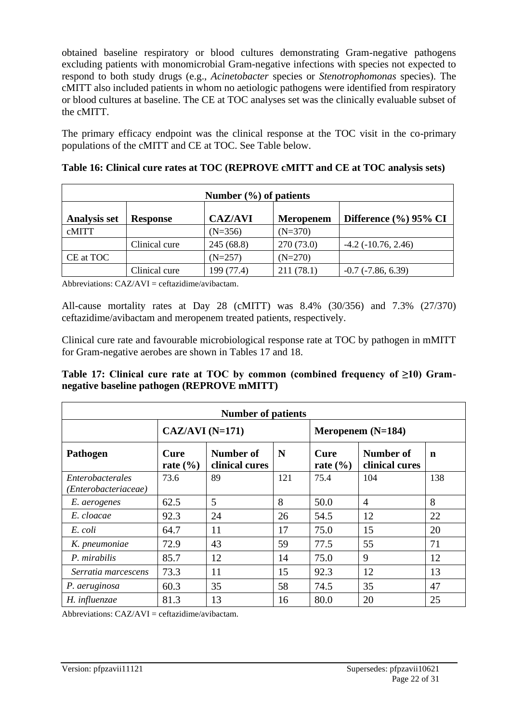obtained baseline respiratory or blood cultures demonstrating Gram-negative pathogens excluding patients with monomicrobial Gram-negative infections with species not expected to respond to both study drugs (e.g., *Acinetobacter* species or *Stenotrophomonas* species). The cMITT also included patients in whom no aetiologic pathogens were identified from respiratory or blood cultures at baseline. The CE at TOC analyses set was the clinically evaluable subset of the cMITT.

The primary efficacy endpoint was the clinical response at the TOC visit in the co-primary populations of the cMITT and CE at TOC. See Table below.

| Number $(\% )$ of patients |                 |                |                  |                           |
|----------------------------|-----------------|----------------|------------------|---------------------------|
| <b>Analysis set</b>        | <b>Response</b> | <b>CAZ/AVI</b> | <b>Meropenem</b> | Difference $(\%$ ) 95% CI |
| cMITT                      |                 | $(N=356)$      | $(N=370)$        |                           |
|                            | Clinical cure   | 245(68.8)      | 270(73.0)        | $-4.2$ ( $-10.76$ , 2.46) |
| CE at TOC                  |                 | $(N=257)$      | $(N=270)$        |                           |
|                            | Clinical cure   | 199 (77.4)     | 211(78.1)        | $-0.7$ $(-7.86, 6.39)$    |

**Table 16: Clinical cure rates at TOC (REPROVE cMITT and CE at TOC analysis sets)**

Abbreviations:  $CAZ/AVI = ceftazidime/avibactam$ .

All-cause mortality rates at Day 28 (cMITT) was 8.4% (30/356) and 7.3% (27/370) ceftazidime/avibactam and meropenem treated patients, respectively.

Clinical cure rate and favourable microbiological response rate at TOC by pathogen in mMITT for Gram-negative aerobes are shown in Tables 17 and 18.

**Table 17: Clinical cure rate at TOC by common (combined frequency of ≥10) Gramnegative baseline pathogen (REPROVE mMITT)**

| <b>Number of patients</b>                |                             |                             |     |                                         |                             |     |
|------------------------------------------|-----------------------------|-----------------------------|-----|-----------------------------------------|-----------------------------|-----|
|                                          | $CAZ/AVI$ (N=171)           |                             |     | Meropenem $(N=184)$                     |                             |     |
| Pathogen                                 | <b>Cure</b><br>rate $(\% )$ | Number of<br>clinical cures | N   | Cure<br>rate $\left(\frac{6}{6}\right)$ | Number of<br>clinical cures | n   |
| Enterobacterales<br>'Enterobacteriaceae) | 73.6                        | 89                          | 121 | 75.4                                    | 104                         | 138 |
| E. aerogenes                             | 62.5                        | 5                           | 8   | 50.0                                    | $\overline{4}$              | 8   |
| E. cloacae                               | 92.3                        | 24                          | 26  | 54.5                                    | 12                          | 22  |
| E. coli                                  | 64.7                        | 11                          | 17  | 75.0                                    | 15                          | 20  |
| K. pneumoniae                            | 72.9                        | 43                          | 59  | 77.5                                    | 55                          | 71  |
| P. mirabilis                             | 85.7                        | 12                          | 14  | 75.0                                    | 9                           | 12  |
| Serratia marcescens                      | 73.3                        | 11                          | 15  | 92.3                                    | 12                          | 13  |
| P. aeruginosa                            | 60.3                        | 35                          | 58  | 74.5                                    | 35                          | 47  |
| H. influenzae                            | 81.3                        | 13                          | 16  | 80.0                                    | 20                          | 25  |

Abbreviations:  $CAZ/AVI = ceftazidime/avibactam$ .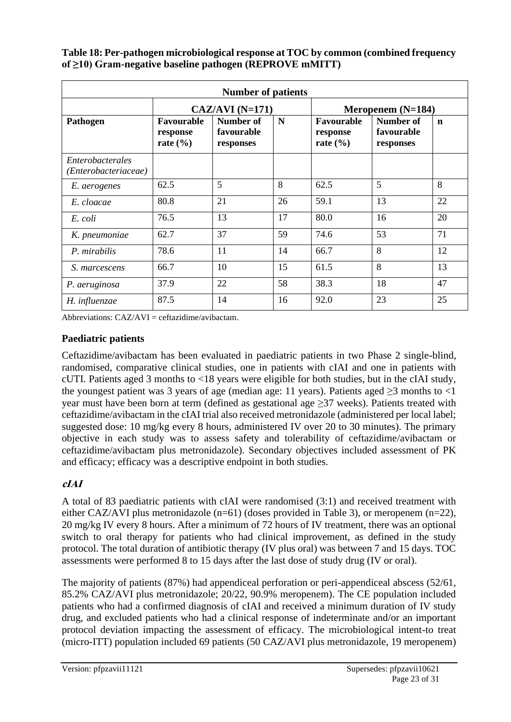**Table 18: Per-pathogen microbiological response at TOC by common (combined frequency of ≥10) Gram-negative baseline pathogen (REPROVE mMITT)**

| <b>Number of patients</b>                |                                        |                                      |    |                                        |                                      |             |
|------------------------------------------|----------------------------------------|--------------------------------------|----|----------------------------------------|--------------------------------------|-------------|
|                                          |                                        | $CAZ/AVI (N=171)$                    |    |                                        | Meropenem $(N=184)$                  |             |
| Pathogen                                 | Favourable<br>response<br>rate $(\% )$ | Number of<br>favourable<br>responses | N  | Favourable<br>response<br>rate $(\% )$ | Number of<br>favourable<br>responses | $\mathbf n$ |
| Enterobacterales<br>(Enterobacteriaceae) |                                        |                                      |    |                                        |                                      |             |
| E. aerogenes                             | 62.5                                   | 5                                    | 8  | 62.5                                   | 5                                    | 8           |
| E. cloacae                               | 80.8                                   | 21                                   | 26 | 59.1                                   | 13                                   | 22          |
| E. coli                                  | 76.5                                   | 13                                   | 17 | 80.0                                   | 16                                   | 20          |
| K. pneumoniae                            | 62.7                                   | 37                                   | 59 | 74.6                                   | 53                                   | 71          |
| P. mirabilis                             | 78.6                                   | 11                                   | 14 | 66.7                                   | 8                                    | 12          |
| S. marcescens                            | 66.7                                   | 10                                   | 15 | 61.5                                   | 8                                    | 13          |
| P. aeruginosa                            | 37.9                                   | 22                                   | 58 | 38.3                                   | 18                                   | 47          |
| H. influenzae                            | 87.5                                   | 14                                   | 16 | 92.0                                   | 23                                   | 25          |

Abbreviations:  $CAZ/AVI = ceftazidime/avibactam$ .

### **Paediatric patients**

Ceftazidime/avibactam has been evaluated in paediatric patients in two Phase 2 single-blind, randomised, comparative clinical studies, one in patients with cIAI and one in patients with cUTI. Patients aged 3 months to <18 years were eligible for both studies, but in the cIAI study, the youngest patient was 3 years of age (median age: 11 years). Patients aged  $\geq$ 3 months to <1 year must have been born at term (defined as gestational age  $\geq$ 37 weeks). Patients treated with ceftazidime/avibactam in the cIAI trial also received metronidazole (administered per local label; suggested dose: 10 mg/kg every 8 hours, administered IV over 20 to 30 minutes). The primary objective in each study was to assess safety and tolerability of ceftazidime/avibactam or ceftazidime/avibactam plus metronidazole). Secondary objectives included assessment of PK and efficacy; efficacy was a descriptive endpoint in both studies.

# **cIAI**

A total of 83 paediatric patients with cIAI were randomised (3:1) and received treatment with either CAZ/AVI plus metronidazole (n=61) (doses provided in Table 3), or meropenem (n=22), 20 mg/kg IV every 8 hours. After a minimum of 72 hours of IV treatment, there was an optional switch to oral therapy for patients who had clinical improvement, as defined in the study protocol. The total duration of antibiotic therapy (IV plus oral) was between 7 and 15 days. TOC assessments were performed 8 to 15 days after the last dose of study drug (IV or oral).

The majority of patients (87%) had appendiceal perforation or peri-appendiceal abscess (52/61, 85.2% CAZ/AVI plus metronidazole; 20/22, 90.9% meropenem). The CE population included patients who had a confirmed diagnosis of cIAI and received a minimum duration of IV study drug, and excluded patients who had a clinical response of indeterminate and/or an important protocol deviation impacting the assessment of efficacy. The microbiological intent-to treat (micro-ITT) population included 69 patients (50 CAZ/AVI plus metronidazole, 19 meropenem)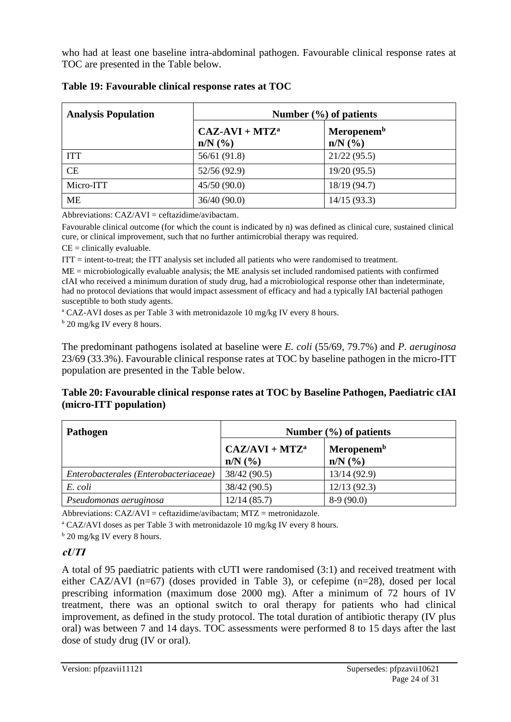who had at least one baseline intra-abdominal pathogen. Favourable clinical response rates at TOC are presented in the Table below.

| <b>Analysis Population</b> | Number $(\% )$ of patients      |                                       |
|----------------------------|---------------------------------|---------------------------------------|
|                            | $CAZ-AVI + MTZa$<br>$n/N$ $(\%$ | Meropenem <sup>b</sup><br>$n/N$ $(\%$ |
| <b>ITT</b>                 | 56/61 (91.8)                    | 21/22(95.5)                           |
| CE                         | 52/56 (92.9)                    | 19/20(95.5)                           |
| Micro-ITT                  | 45/50(90.0)                     | 18/19 (94.7)                          |
| <b>ME</b>                  | 36/40(90.0)                     | 14/15(93.3)                           |

|  | Table 19: Favourable clinical response rates at TOC |  |  |  |  |
|--|-----------------------------------------------------|--|--|--|--|
|--|-----------------------------------------------------|--|--|--|--|

Abbreviations:  $C_A Z/AV I = c e f t a z i d r e/a v i b a c t a m$ .

Favourable clinical outcome (for which the count is indicated by n) was defined as clinical cure, sustained clinical cure, or clinical improvement, such that no further antimicrobial therapy was required.

 $CE =$  clinically evaluable.

ITT = intent-to-treat; the ITT analysis set included all patients who were randomised to treatment.

ME = microbiologically evaluable analysis; the ME analysis set included randomised patients with confirmed cIAI who received a minimum duration of study drug, had a microbiological response other than indeterminate, had no protocol deviations that would impact assessment of efficacy and had a typically IAI bacterial pathogen susceptible to both study agents.

<sup>a</sup> CAZ-AVI doses as per Table 3 with metronidazole 10 mg/kg IV every 8 hours.

<sup>b</sup> 20 mg/kg IV every 8 hours.

The predominant pathogens isolated at baseline were *E. coli* (55/69, 79.7%) and *P. aeruginosa* 23/69 (33.3%). Favourable clinical response rates at TOC by baseline pathogen in the micro-ITT population are presented in the Table below.

#### **Table 20: Favourable clinical response rates at TOC by Baseline Pathogen, Paediatric cIAI (micro-ITT population)**

| <b>Pathogen</b>                       |                                  | Number $(\% )$ of patients             |
|---------------------------------------|----------------------------------|----------------------------------------|
|                                       | $CAZ/AVI + MTZa$<br>$n/N$ $(\%)$ | Meropenem <sup>b</sup><br>$n/N$ $(\%)$ |
| Enterobacterales (Enterobacteriaceae) | 38/42(90.5)                      | 13/14(92.9)                            |
| E. coli                               | 38/42 (90.5)                     | 12/13(92.3)                            |
| Pseudomonas aeruginosa                | 12/14(85.7)                      | $8-9(90.0)$                            |

Abbreviations: CAZ/AVI = ceftazidime/avibactam; MTZ = metronidazole.

<sup>a</sup> CAZ/AVI doses as per Table 3 with metronidazole 10 mg/kg IV every 8 hours.

<sup>b</sup> 20 mg/kg IV every 8 hours.

#### **cUTI**

A total of 95 paediatric patients with cUTI were randomised (3:1) and received treatment with either CAZ/AVI (n=67) (doses provided in Table 3), or cefepime (n=28), dosed per local prescribing information (maximum dose 2000 mg). After a minimum of 72 hours of IV treatment, there was an optional switch to oral therapy for patients who had clinical improvement, as defined in the study protocol. The total duration of antibiotic therapy (IV plus oral) was between 7 and 14 days. TOC assessments were performed 8 to 15 days after the last dose of study drug (IV or oral).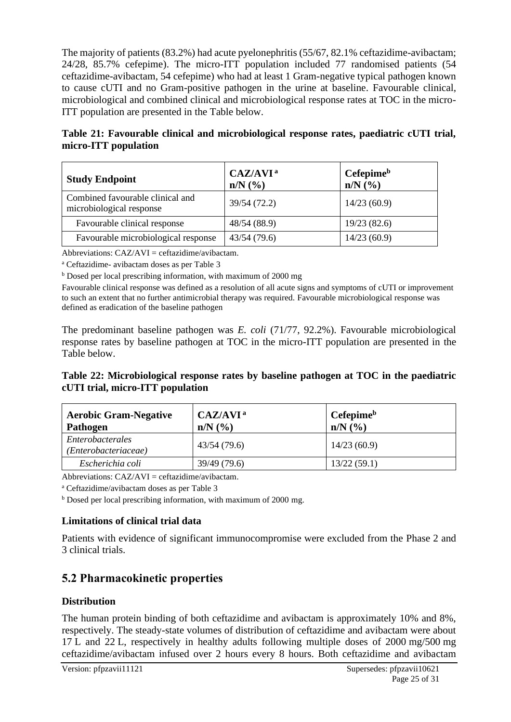The majority of patients (83.2%) had acute pyelonephritis (55/67, 82.1% ceftazidime-avibactam; 24/28, 85.7% cefepime). The micro-ITT population included 77 randomised patients (54 ceftazidime-avibactam, 54 cefepime) who had at least 1 Gram-negative typical pathogen known to cause cUTI and no Gram-positive pathogen in the urine at baseline. Favourable clinical, microbiological and combined clinical and microbiological response rates at TOC in the micro-ITT population are presented in the Table below.

**Table 21: Favourable clinical and microbiological response rates, paediatric cUTI trial, micro-ITT population**

| <b>Study Endpoint</b>                                        | CAZ/AVI <sup>a</sup><br>$n/N$ $\left(\frac{9}{6}\right)$ | Cefepimeb<br>$n/N$ $(\%)$ |
|--------------------------------------------------------------|----------------------------------------------------------|---------------------------|
| Combined favourable clinical and<br>microbiological response | 39/54 (72.2)                                             | 14/23(60.9)               |
| Favourable clinical response                                 | 48/54 (88.9)                                             | 19/23(82.6)               |
| Favourable microbiological response                          | 43/54(79.6)                                              | 14/23(60.9)               |

Abbreviations:  $CAZ/AVI = ceftazidime/avibactam$ .

<sup>a</sup> Ceftazidime- avibactam doses as per Table 3

<sup>b</sup> Dosed per local prescribing information, with maximum of 2000 mg

Favourable clinical response was defined as a resolution of all acute signs and symptoms of cUTI or improvement to such an extent that no further antimicrobial therapy was required. Favourable microbiological response was defined as eradication of the baseline pathogen

The predominant baseline pathogen was *E. coli* (71/77, 92.2%). Favourable microbiological response rates by baseline pathogen at TOC in the micro-ITT population are presented in the Table below.

**Table 22: Microbiological response rates by baseline pathogen at TOC in the paediatric cUTI trial, micro-ITT population**

| <b>Aerobic Gram-Negative</b><br>Pathogen | CAZ/AVI <sup>a</sup><br>$n/N$ $\left(\frac{9}{6}\right)$ | Cefepime <sup>b</sup><br>$n/N$ $\left(\frac{9}{6}\right)$ |
|------------------------------------------|----------------------------------------------------------|-----------------------------------------------------------|
| Enterobacterales<br>(Enterobacteriaceae) | 43/54(79.6)                                              | 14/23(60.9)                                               |
| Escherichia coli                         | 39/49 (79.6)                                             | 13/22(59.1)                                               |

Abbreviations:  $CAZ/AVI = ceftazidime/avibactam$ .

<sup>a</sup> Ceftazidime/avibactam doses as per Table 3

b Dosed per local prescribing information, with maximum of 2000 mg.

### **Limitations of clinical trial data**

Patients with evidence of significant immunocompromise were excluded from the Phase 2 and 3 clinical trials.

# **5.2 Pharmacokinetic properties**

#### **Distribution**

The human protein binding of both ceftazidime and avibactam is approximately 10% and 8%, respectively. The steady-state volumes of distribution of ceftazidime and avibactam were about 17 L and 22 L, respectively in healthy adults following multiple doses of 2000 mg/500 mg ceftazidime/avibactam infused over 2 hours every 8 hours. Both ceftazidime and avibactam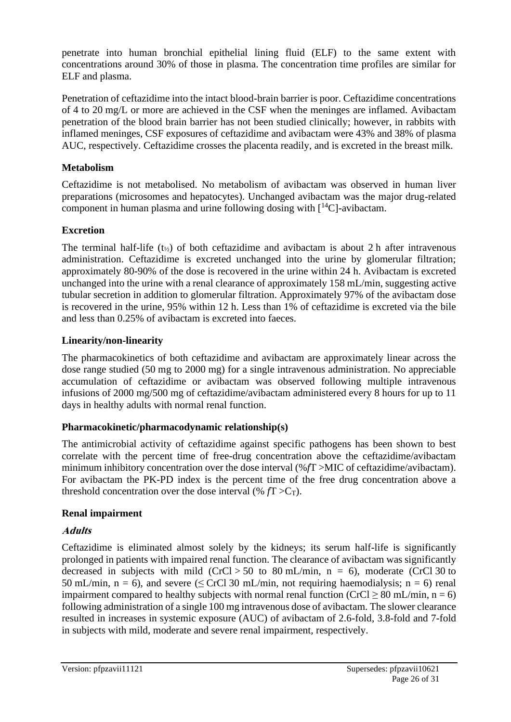penetrate into human bronchial epithelial lining fluid (ELF) to the same extent with concentrations around 30% of those in plasma. The concentration time profiles are similar for ELF and plasma.

Penetration of ceftazidime into the intact blood-brain barrier is poor. Ceftazidime concentrations of 4 to 20 mg/L or more are achieved in the CSF when the meninges are inflamed. Avibactam penetration of the blood brain barrier has not been studied clinically; however, in rabbits with inflamed meninges, CSF exposures of ceftazidime and avibactam were 43% and 38% of plasma AUC, respectively. Ceftazidime crosses the placenta readily, and is excreted in the breast milk.

### **Metabolism**

Ceftazidime is not metabolised. No metabolism of avibactam was observed in human liver preparations (microsomes and hepatocytes). Unchanged avibactam was the major drug-related component in human plasma and urine following dosing with  $\lceil {^{14}C} \rceil$ -avibactam.

# **Excretion**

The terminal half-life  $(t_{\gamma_2})$  of both ceftazidime and avibactam is about 2 h after intravenous administration. Ceftazidime is excreted unchanged into the urine by glomerular filtration; approximately 80-90% of the dose is recovered in the urine within 24 h. Avibactam is excreted unchanged into the urine with a renal clearance of approximately 158 mL/min, suggesting active tubular secretion in addition to glomerular filtration. Approximately 97% of the avibactam dose is recovered in the urine, 95% within 12 h. Less than 1% of ceftazidime is excreted via the bile and less than 0.25% of avibactam is excreted into faeces.

# **Linearity/non-linearity**

The pharmacokinetics of both ceftazidime and avibactam are approximately linear across the dose range studied (50 mg to 2000 mg) for a single intravenous administration. No appreciable accumulation of ceftazidime or avibactam was observed following multiple intravenous infusions of 2000 mg/500 mg of ceftazidime/avibactam administered every 8 hours for up to 11 days in healthy adults with normal renal function.

# **Pharmacokinetic/pharmacodynamic relationship(s)**

The antimicrobial activity of ceftazidime against specific pathogens has been shown to best correlate with the percent time of free-drug concentration above the ceftazidime/avibactam minimum inhibitory concentration over the dose interval (%*f*T >MIC of ceftazidime/avibactam). For avibactam the PK-PD index is the percent time of the free drug concentration above a threshold concentration over the dose interval  $(\% f \Gamma > C_T)$ .

# **Renal impairment**

# **Adults**

Ceftazidime is eliminated almost solely by the kidneys; its serum half-life is significantly prolonged in patients with impaired renal function. The clearance of avibactam was significantly decreased in subjects with mild  $(CrCl > 50$  to 80 mL/min, n = 6), moderate  $(CrCl/30)$  to 50 mL/min, n = 6), and severe ( $\leq$  CrCl 30 mL/min, not requiring haemodialysis; n = 6) renal impairment compared to healthy subjects with normal renal function (CrCl  $\geq 80$  mL/min, n = 6) following administration of a single 100 mg intravenous dose of avibactam. The slower clearance resulted in increases in systemic exposure (AUC) of avibactam of 2.6-fold, 3.8-fold and 7-fold in subjects with mild, moderate and severe renal impairment, respectively.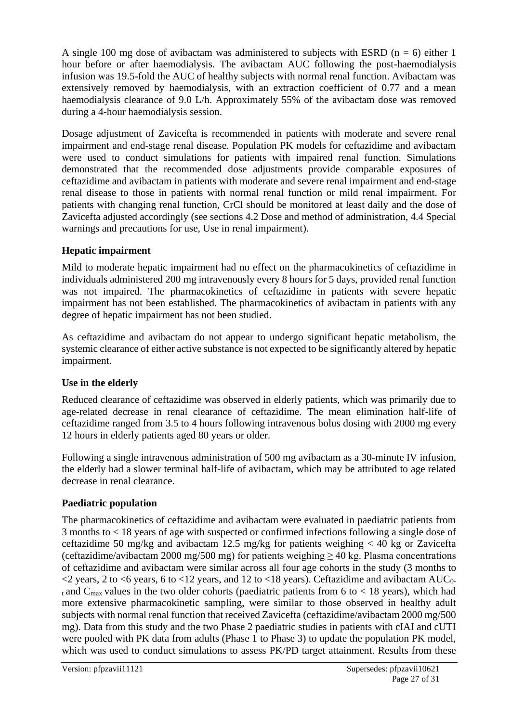A single 100 mg dose of avibactam was administered to subjects with ESRD ( $n = 6$ ) either 1 hour before or after haemodialysis. The avibactam AUC following the post-haemodialysis infusion was 19.5-fold the AUC of healthy subjects with normal renal function. Avibactam was extensively removed by haemodialysis, with an extraction coefficient of 0.77 and a mean haemodialysis clearance of 9.0 L/h. Approximately 55% of the avibactam dose was removed during a 4-hour haemodialysis session.

Dosage adjustment of Zavicefta is recommended in patients with moderate and severe renal impairment and end-stage renal disease. Population PK models for ceftazidime and avibactam were used to conduct simulations for patients with impaired renal function. Simulations demonstrated that the recommended dose adjustments provide comparable exposures of ceftazidime and avibactam in patients with moderate and severe renal impairment and end-stage renal disease to those in patients with normal renal function or mild renal impairment. For patients with changing renal function, CrCl should be monitored at least daily and the dose of Zavicefta adjusted accordingly (see sections 4.2 Dose and method of administration, 4.4 Special warnings and precautions for use, Use in renal impairment).

### **Hepatic impairment**

Mild to moderate hepatic impairment had no effect on the pharmacokinetics of ceftazidime in individuals administered 200 mg intravenously every 8 hours for 5 days, provided renal function was not impaired. The pharmacokinetics of ceftazidime in patients with severe hepatic impairment has not been established. The pharmacokinetics of avibactam in patients with any degree of hepatic impairment has not been studied.

As ceftazidime and avibactam do not appear to undergo significant hepatic metabolism, the systemic clearance of either active substance is not expected to be significantly altered by hepatic impairment.

### **Use in the elderly**

Reduced clearance of ceftazidime was observed in elderly patients, which was primarily due to age-related decrease in renal clearance of ceftazidime. The mean elimination half-life of ceftazidime ranged from 3.5 to 4 hours following intravenous bolus dosing with 2000 mg every 12 hours in elderly patients aged 80 years or older.

Following a single intravenous administration of 500 mg avibactam as a 30-minute IV infusion, the elderly had a slower terminal half-life of avibactam, which may be attributed to age related decrease in renal clearance.

### **Paediatric population**

The pharmacokinetics of ceftazidime and avibactam were evaluated in paediatric patients from 3 months to < 18 years of age with suspected or confirmed infections following a single dose of ceftazidime 50 mg/kg and avibactam 12.5 mg/kg for patients weighing < 40 kg or Zavicefta (ceftazidime/avibactam 2000 mg/500 mg) for patients weighing  $\geq 40$  kg. Plasma concentrations of ceftazidime and avibactam were similar across all four age cohorts in the study (3 months to  $\langle$  2 years, 2 to  $\langle$ 6 years, 6 to  $\langle$ 12 years, and 12 to  $\langle$ 18 years). Ceftazidime and avibactam AUC<sub>0</sub>t and C<sub>max</sub> values in the two older cohorts (paediatric patients from 6 to  $< 18$  years), which had more extensive pharmacokinetic sampling, were similar to those observed in healthy adult subjects with normal renal function that received Zavicefta (ceftazidime/avibactam 2000 mg/500 mg). Data from this study and the two Phase 2 paediatric studies in patients with cIAI and cUTI were pooled with PK data from adults (Phase 1 to Phase 3) to update the population PK model, which was used to conduct simulations to assess PK/PD target attainment. Results from these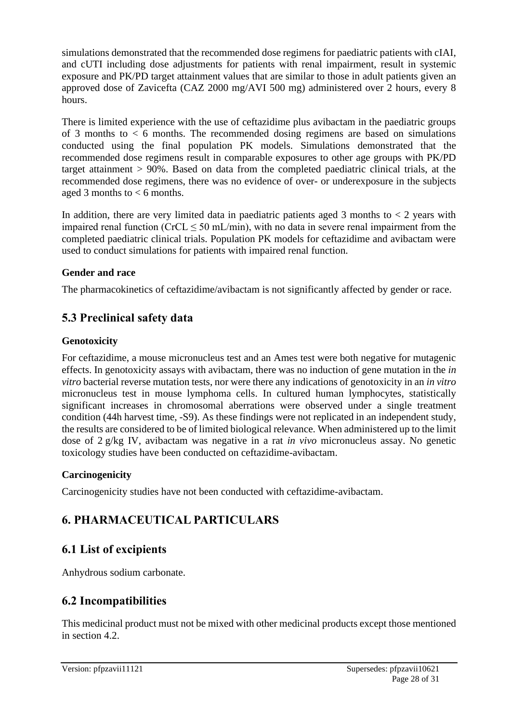simulations demonstrated that the recommended dose regimens for paediatric patients with cIAI, and cUTI including dose adjustments for patients with renal impairment, result in systemic exposure and PK/PD target attainment values that are similar to those in adult patients given an approved dose of Zavicefta (CAZ 2000 mg/AVI 500 mg) administered over 2 hours, every 8 hours.

There is limited experience with the use of ceftazidime plus avibactam in the paediatric groups of 3 months to  $< 6$  months. The recommended dosing regimens are based on simulations conducted using the final population PK models. Simulations demonstrated that the recommended dose regimens result in comparable exposures to other age groups with PK/PD target attainment > 90%. Based on data from the completed paediatric clinical trials, at the recommended dose regimens, there was no evidence of over- or underexposure in the subjects aged 3 months to  $< 6$  months.

In addition, there are very limited data in paediatric patients aged 3 months to  $\lt 2$  years with impaired renal function ( $CrCL \leq 50$  mL/min), with no data in severe renal impairment from the completed paediatric clinical trials. Population PK models for ceftazidime and avibactam were used to conduct simulations for patients with impaired renal function.

### **Gender and race**

The pharmacokinetics of ceftazidime/avibactam is not significantly affected by gender or race.

# **5.3 Preclinical safety data**

#### **Genotoxicity**

For ceftazidime, a mouse micronucleus test and an Ames test were both negative for mutagenic effects. In genotoxicity assays with avibactam, there was no induction of gene mutation in the *in vitro* bacterial reverse mutation tests, nor were there any indications of genotoxicity in an *in vitro* micronucleus test in mouse lymphoma cells. In cultured human lymphocytes, statistically significant increases in chromosomal aberrations were observed under a single treatment condition (44h harvest time, -S9). As these findings were not replicated in an independent study, the results are considered to be of limited biological relevance. When administered up to the limit dose of 2 g/kg IV, avibactam was negative in a rat *in vivo* micronucleus assay. No genetic toxicology studies have been conducted on ceftazidime-avibactam.

### **Carcinogenicity**

Carcinogenicity studies have not been conducted with ceftazidime-avibactam.

# **6. PHARMACEUTICAL PARTICULARS**

# **6.1 List of excipients**

Anhydrous sodium carbonate.

# **6.2 Incompatibilities**

This medicinal product must not be mixed with other medicinal products except those mentioned in section 4.2.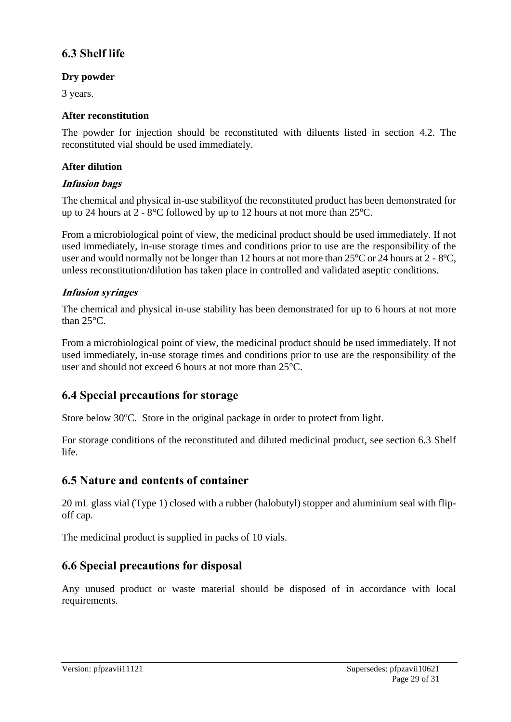# **6.3 Shelf life**

### **Dry powder**

3 years.

#### **After reconstitution**

The powder for injection should be reconstituted with diluents listed in section 4.2. The reconstituted vial should be used immediately.

#### **After dilution**

#### **Infusion bags**

The chemical and physical in-use stabilityof the reconstituted product has been demonstrated for up to 24 hours at  $2 - 8$ °C followed by up to 12 hours at not more than  $25$ °C.

From a microbiological point of view, the medicinal product should be used immediately. If not used immediately, in-use storage times and conditions prior to use are the responsibility of the user and would normally not be longer than 12 hours at not more than  $25^{\circ}$ C or 24 hours at 2 -  $8^{\circ}$ C, unless reconstitution/dilution has taken place in controlled and validated aseptic conditions.

### **Infusion syringes**

The chemical and physical in-use stability has been demonstrated for up to 6 hours at not more than 25°C.

From a microbiological point of view, the medicinal product should be used immediately. If not used immediately, in-use storage times and conditions prior to use are the responsibility of the user and should not exceed 6 hours at not more than 25°C.

# **6.4 Special precautions for storage**

Store below 30<sup>o</sup>C. Store in the original package in order to protect from light.

For storage conditions of the reconstituted and diluted medicinal product, see section 6.3 Shelf life.

# **6.5 Nature and contents of container**

20 mL glass vial (Type 1) closed with a rubber (halobutyl) stopper and aluminium seal with flipoff cap.

The medicinal product is supplied in packs of 10 vials.

# **6.6 Special precautions for disposal**

Any unused product or waste material should be disposed of in accordance with local requirements.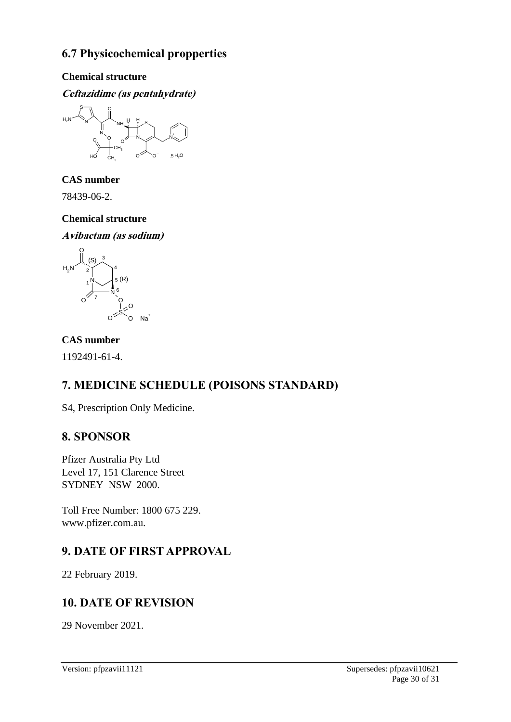# **6.7 Physicochemical propperties**

### **Chemical structure**

### **Ceftazidime (as pentahydrate)**



**CAS number** 

78439-06-2.

# **Chemical structure**





### **CAS number**

1192491-61-4.

# **7. MEDICINE SCHEDULE (POISONS STANDARD)**

S4, Prescription Only Medicine.

+

# **8. SPONSOR**

Pfizer Australia Pty Ltd Level 17, 151 Clarence Street SYDNEY NSW 2000.

Toll Free Number: 1800 675 229. www.pfizer.com.au.

# **9. DATE OF FIRST APPROVAL**

22 February 2019.

# **10. DATE OF REVISION**

29 November 2021.